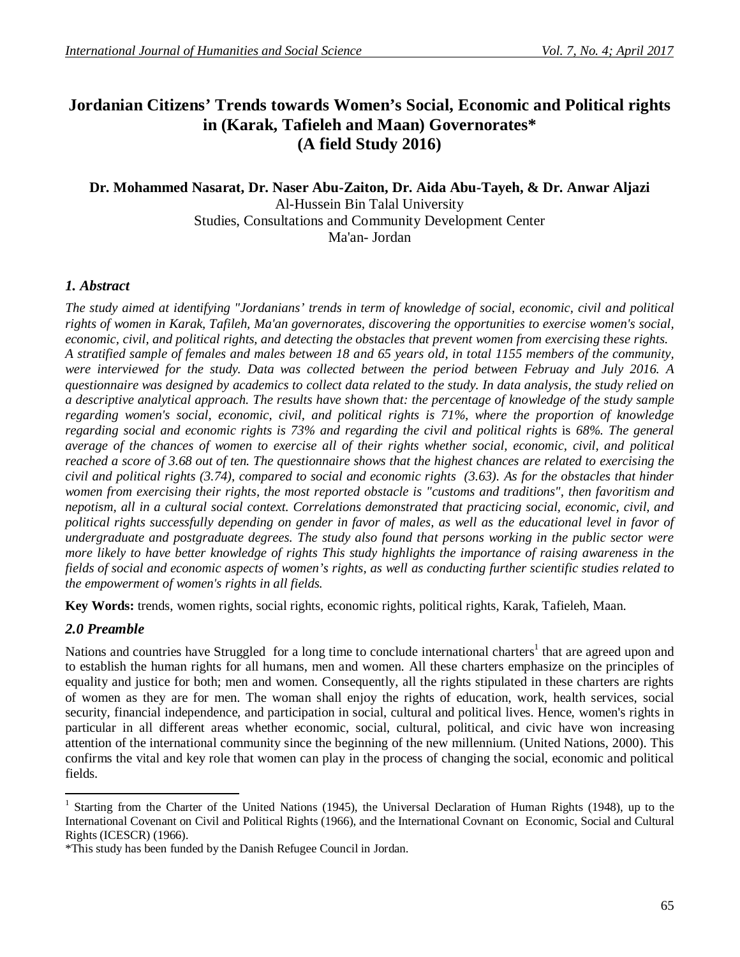# **Jordanian Citizens' Trends towards Women's Social, Economic and Political rights in (Karak, Tafieleh and Maan) Governorates\* (A field Study 2016)**

## **Dr. Mohammed Nasarat, Dr. Naser Abu-Zaiton, Dr. Aida Abu-Tayeh, & Dr. Anwar Aljazi** Al-Hussein Bin Talal University Studies, Consultations and Community Development Center Ma'an- Jordan

## *1. Abstract*

*The study aimed at identifying "Jordanians' trends in term of knowledge of social, economic, civil and political rights of women in Karak, Tafileh, Ma'an governorates, discovering the opportunities to exercise women's social, economic, civil, and political rights, and detecting the obstacles that prevent women from exercising these rights. A stratified sample of females and males between 18 and 65 years old, in total 1155 members of the community, were interviewed for the study. Data was collected between the period between Februay and July 2016. A questionnaire was designed by academics to collect data related to the study. In data analysis, the study relied on a descriptive analytical approach. The results have shown that: the percentage of knowledge of the study sample regarding women's social, economic, civil, and political rights is 71%, where the proportion of knowledge regarding social and economic rights is 73% and regarding the civil and political rights* is *68%. The general average of the chances of women to exercise all of their rights whether social, economic, civil, and political reached a score of 3.68 out of ten. The questionnaire shows that the highest chances are related to exercising the civil and political rights (3.74), compared to social and economic rights (3.63). As for the obstacles that hinder women from exercising their rights, the most reported obstacle is "customs and traditions", then favoritism and nepotism, all in a cultural social context. Correlations demonstrated that practicing social, economic, civil, and political rights successfully depending on gender in favor of males, as well as the educational level in favor of undergraduate and postgraduate degrees. The study also found that persons working in the public sector were more likely to have better knowledge of rights This study highlights the importance of raising awareness in the fields of social and economic aspects of women's rights, as well as conducting further scientific studies related to the empowerment of women's rights in all fields.*

**Key Words:** trends, women rights, social rights, economic rights, political rights, Karak, Tafieleh, Maan.

## *2.0 Preamble*

Nations and countries have Struggled for a long time to conclude international charters<sup>1</sup> that are agreed upon and to establish the human rights for all humans, men and women. All these charters emphasize on the principles of equality and justice for both; men and women. Consequently, all the rights stipulated in these charters are rights of women as they are for men. The woman shall enjoy the rights of education, work, health services, social security, financial independence, and participation in social, cultural and political lives. Hence, women's rights in particular in all different areas whether economic, social, cultural, political, and civic have won increasing attention of the international community since the beginning of the new millennium. (United Nations, 2000). This confirms the vital and key role that women can play in the process of changing the social, economic and political fields.

<sup>&</sup>lt;sup>1</sup> Starting from the Charter of the United Nations (1945), the Universal Declaration of Human Rights (1948), up to the International Covenant on Civil and Political Rights (1966), and the International Covnant on Economic, Social and Cultural Rights (ICESCR) (1966).

<sup>\*</sup>This study has been funded by the Danish Refugee Council in Jordan.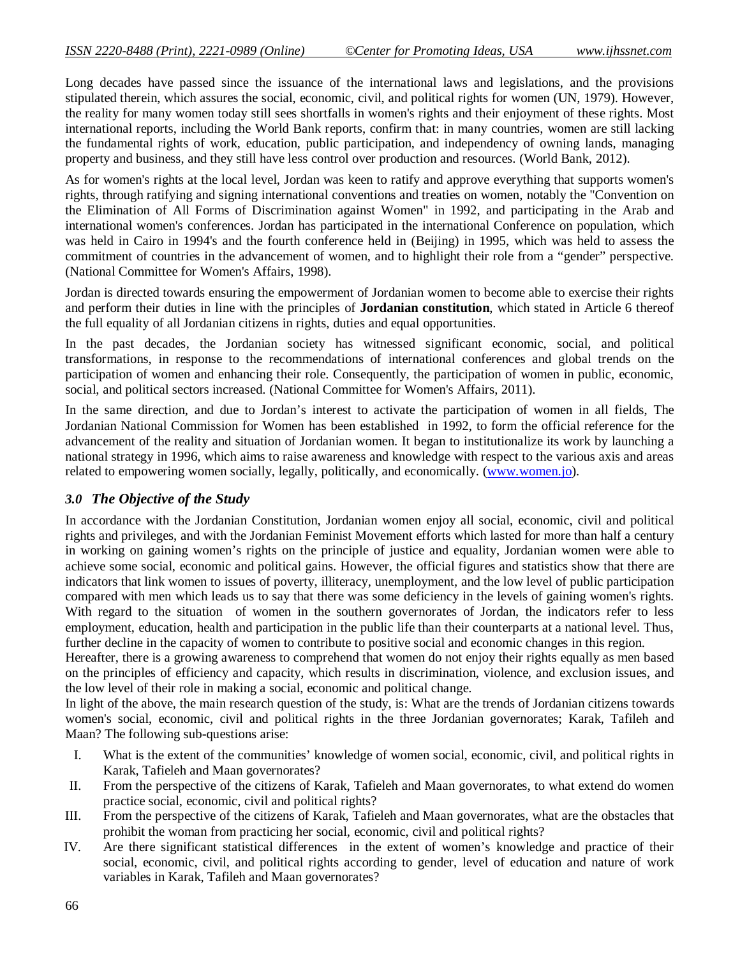Long decades have passed since the issuance of the international laws and legislations, and the provisions stipulated therein, which assures the social, economic, civil, and political rights for women (UN, 1979). However, the reality for many women today still sees shortfalls in women's rights and their enjoyment of these rights. Most international reports, including the World Bank reports, confirm that: in many countries, women are still lacking the fundamental rights of work, education, public participation, and independency of owning lands, managing property and business, and they still have less control over production and resources. (World Bank, 2012).

As for women's rights at the local level, Jordan was keen to ratify and approve everything that supports women's rights, through ratifying and signing international conventions and treaties on women, notably the "Convention on the Elimination of All Forms of Discrimination against Women" in 1992, and participating in the Arab and international women's conferences. Jordan has participated in the international Conference on population, which was held in Cairo in 1994's and the fourth conference held in (Beijing) in 1995, which was held to assess the commitment of countries in the advancement of women, and to highlight their role from a "gender" perspective. (National Committee for Women's Affairs, 1998).

Jordan is directed towards ensuring the empowerment of Jordanian women to become able to exercise their rights and perform their duties in line with the principles of **Jordanian constitution**, which stated in Article 6 thereof the full equality of all Jordanian citizens in rights, duties and equal opportunities.

In the past decades, the Jordanian society has witnessed significant economic, social, and political transformations, in response to the recommendations of international conferences and global trends on the participation of women and enhancing their role. Consequently, the participation of women in public, economic, social, and political sectors increased. (National Committee for Women's Affairs, 2011).

In the same direction, and due to Jordan's interest to activate the participation of women in all fields, The Jordanian National Commission for Women has been established in 1992, to form the official reference for the advancement of the reality and situation of Jordanian women. It began to institutionalize its work by launching a national strategy in 1996, which aims to raise awareness and knowledge with respect to the various axis and areas related to empowering women socially, legally, politically, and economically. (www.women.jo).

### *3.0 The Objective of the Study*

In accordance with the Jordanian Constitution, Jordanian women enjoy all social, economic, civil and political rights and privileges, and with the Jordanian Feminist Movement efforts which lasted for more than half a century in working on gaining women's rights on the principle of justice and equality, Jordanian women were able to achieve some social, economic and political gains. However, the official figures and statistics show that there are indicators that link women to issues of poverty, illiteracy, unemployment, and the low level of public participation compared with men which leads us to say that there was some deficiency in the levels of gaining women's rights. With regard to the situation of women in the southern governorates of Jordan, the indicators refer to less employment, education, health and participation in the public life than their counterparts at a national level. Thus, further decline in the capacity of women to contribute to positive social and economic changes in this region.

Hereafter, there is a growing awareness to comprehend that women do not enjoy their rights equally as men based on the principles of efficiency and capacity, which results in discrimination, violence, and exclusion issues, and the low level of their role in making a social, economic and political change.

In light of the above, the main research question of the study, is: What are the trends of Jordanian citizens towards women's social, economic, civil and political rights in the three Jordanian governorates; Karak, Tafileh and Maan? The following sub-questions arise:

- I. What is the extent of the communities' knowledge of women social, economic, civil, and political rights in Karak, Tafieleh and Maan governorates?
- II. From the perspective of the citizens of Karak, Tafieleh and Maan governorates, to what extend do women practice social, economic, civil and political rights?
- III. From the perspective of the citizens of Karak, Tafieleh and Maan governorates, what are the obstacles that prohibit the woman from practicing her social, economic, civil and political rights?
- IV. Are there significant statistical differences in the extent of women's knowledge and practice of their social, economic, civil, and political rights according to gender, level of education and nature of work variables in Karak, Tafileh and Maan governorates?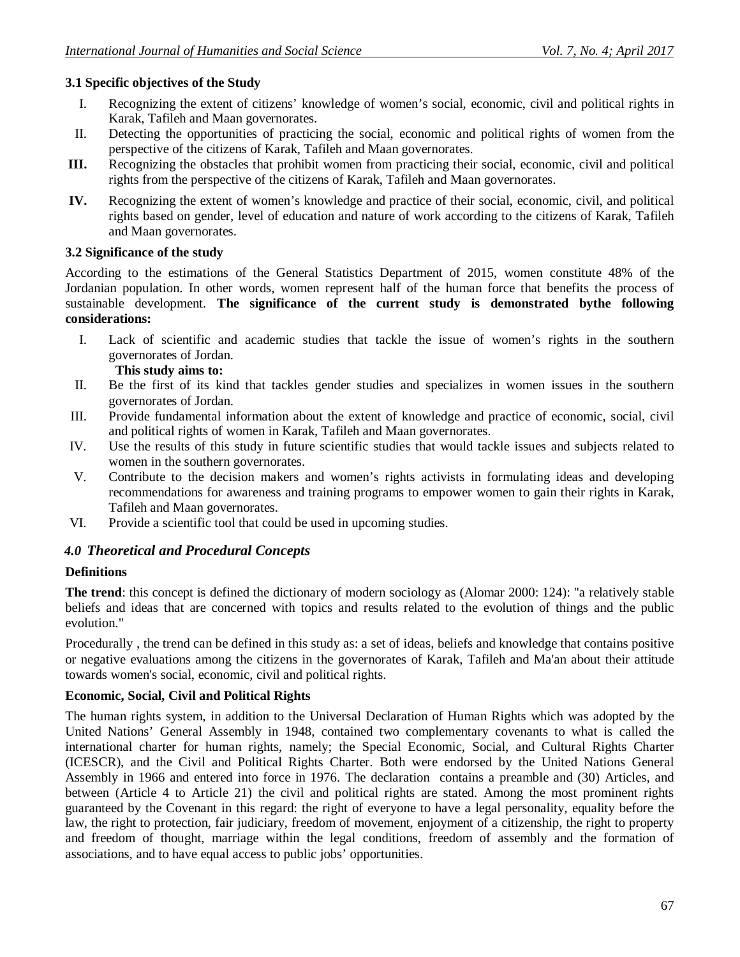## **3.1 Specific objectives of the Study**

- I. Recognizing the extent of citizens' knowledge of women's social, economic, civil and political rights in Karak, Tafileh and Maan governorates.
- II. Detecting the opportunities of practicing the social, economic and political rights of women from the perspective of the citizens of Karak, Tafileh and Maan governorates.
- **III.** Recognizing the obstacles that prohibit women from practicing their social, economic, civil and political rights from the perspective of the citizens of Karak, Tafileh and Maan governorates.
- **IV.** Recognizing the extent of women's knowledge and practice of their social, economic, civil, and political rights based on gender, level of education and nature of work according to the citizens of Karak, Tafileh and Maan governorates.

### **3.2 Significance of the study**

According to the estimations of the General Statistics Department of 2015, women constitute 48% of the Jordanian population. In other words, women represent half of the human force that benefits the process of sustainable development. **The significance of the current study is demonstrated bythe following considerations:**

I. Lack of scientific and academic studies that tackle the issue of women's rights in the southern governorates of Jordan.

### **This study aims to:**

- II. Be the first of its kind that tackles gender studies and specializes in women issues in the southern governorates of Jordan.
- III. Provide fundamental information about the extent of knowledge and practice of economic, social, civil and political rights of women in Karak, Tafileh and Maan governorates.
- IV. Use the results of this study in future scientific studies that would tackle issues and subjects related to women in the southern governorates.
- V. Contribute to the decision makers and women's rights activists in formulating ideas and developing recommendations for awareness and training programs to empower women to gain their rights in Karak, Tafileh and Maan governorates.
- VI. Provide a scientific tool that could be used in upcoming studies.

## *4.0 Theoretical and Procedural Concepts*

### **Definitions**

**The trend**: this concept is defined the dictionary of modern sociology as (Alomar 2000: 124): "a relatively stable beliefs and ideas that are concerned with topics and results related to the evolution of things and the public evolution."

Procedurally , the trend can be defined in this study as: a set of ideas, beliefs and knowledge that contains positive or negative evaluations among the citizens in the governorates of Karak, Tafileh and Ma'an about their attitude towards women's social, economic, civil and political rights.

#### **Economic, Social, Civil and Political Rights**

The human rights system, in addition to the Universal Declaration of Human Rights which was adopted by the United Nations' General Assembly in 1948, contained two complementary covenants to what is called the international charter for human rights, namely; the Special Economic, Social, and Cultural Rights Charter (ICESCR), and the Civil and Political Rights Charter. Both were endorsed by the United Nations General Assembly in 1966 and entered into force in 1976. The declaration contains a preamble and (30) Articles, and between (Article 4 to Article 21) the civil and political rights are stated. Among the most prominent rights guaranteed by the Covenant in this regard: the right of everyone to have a legal personality, equality before the law, the right to protection, fair judiciary, freedom of movement, enjoyment of a citizenship, the right to property and freedom of thought, marriage within the legal conditions, freedom of assembly and the formation of associations, and to have equal access to public jobs' opportunities.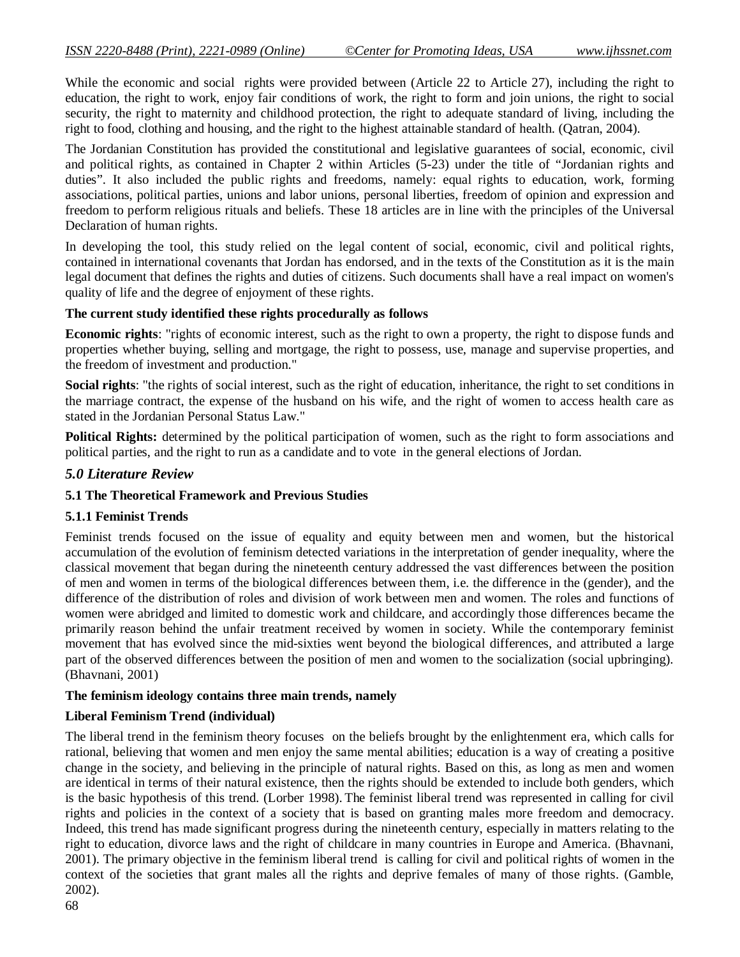While the economic and social rights were provided between (Article 22 to Article 27), including the right to education, the right to work, enjoy fair conditions of work, the right to form and join unions, the right to social security, the right to maternity and childhood protection, the right to adequate standard of living, including the right to food, clothing and housing, and the right to the highest attainable standard of health. (Qatran, 2004).

The Jordanian Constitution has provided the constitutional and legislative guarantees of social, economic, civil and political rights, as contained in Chapter 2 within Articles (5-23) under the title of "Jordanian rights and duties". It also included the public rights and freedoms, namely: equal rights to education, work, forming associations, political parties, unions and labor unions, personal liberties, freedom of opinion and expression and freedom to perform religious rituals and beliefs. These 18 articles are in line with the principles of the Universal Declaration of human rights.

In developing the tool, this study relied on the legal content of social, economic, civil and political rights, contained in international covenants that Jordan has endorsed, and in the texts of the Constitution as it is the main legal document that defines the rights and duties of citizens. Such documents shall have a real impact on women's quality of life and the degree of enjoyment of these rights.

#### **The current study identified these rights procedurally as follows**

**Economic rights**: "rights of economic interest, such as the right to own a property, the right to dispose funds and properties whether buying, selling and mortgage, the right to possess, use, manage and supervise properties, and the freedom of investment and production."

**Social rights**: "the rights of social interest, such as the right of education, inheritance, the right to set conditions in the marriage contract, the expense of the husband on his wife, and the right of women to access health care as stated in the Jordanian Personal Status Law."

**Political Rights:** determined by the political participation of women, such as the right to form associations and political parties, and the right to run as a candidate and to vote in the general elections of Jordan.

#### *5.0 Literature Review*

#### **5.1 The Theoretical Framework and Previous Studies**

#### **5.1.1 Feminist Trends**

Feminist trends focused on the issue of equality and equity between men and women, but the historical accumulation of the evolution of feminism detected variations in the interpretation of gender inequality, where the classical movement that began during the nineteenth century addressed the vast differences between the position of men and women in terms of the biological differences between them, i.e. the difference in the (gender), and the difference of the distribution of roles and division of work between men and women. The roles and functions of women were abridged and limited to domestic work and childcare, and accordingly those differences became the primarily reason behind the unfair treatment received by women in society. While the contemporary feminist movement that has evolved since the mid-sixties went beyond the biological differences, and attributed a large part of the observed differences between the position of men and women to the socialization (social upbringing). (Bhavnani, 2001)

#### **The feminism ideology contains three main trends, namely**

#### **Liberal Feminism Trend (individual)**

The liberal trend in the feminism theory focuses on the beliefs brought by the enlightenment era, which calls for rational, believing that women and men enjoy the same mental abilities; education is a way of creating a positive change in the society, and believing in the principle of natural rights. Based on this, as long as men and women are identical in terms of their natural existence, then the rights should be extended to include both genders, which is the basic hypothesis of this trend. (Lorber 1998). The feminist liberal trend was represented in calling for civil rights and policies in the context of a society that is based on granting males more freedom and democracy. Indeed, this trend has made significant progress during the nineteenth century, especially in matters relating to the right to education, divorce laws and the right of childcare in many countries in Europe and America. (Bhavnani, 2001). The primary objective in the feminism liberal trend is calling for civil and political rights of women in the context of the societies that grant males all the rights and deprive females of many of those rights. (Gamble, 2002).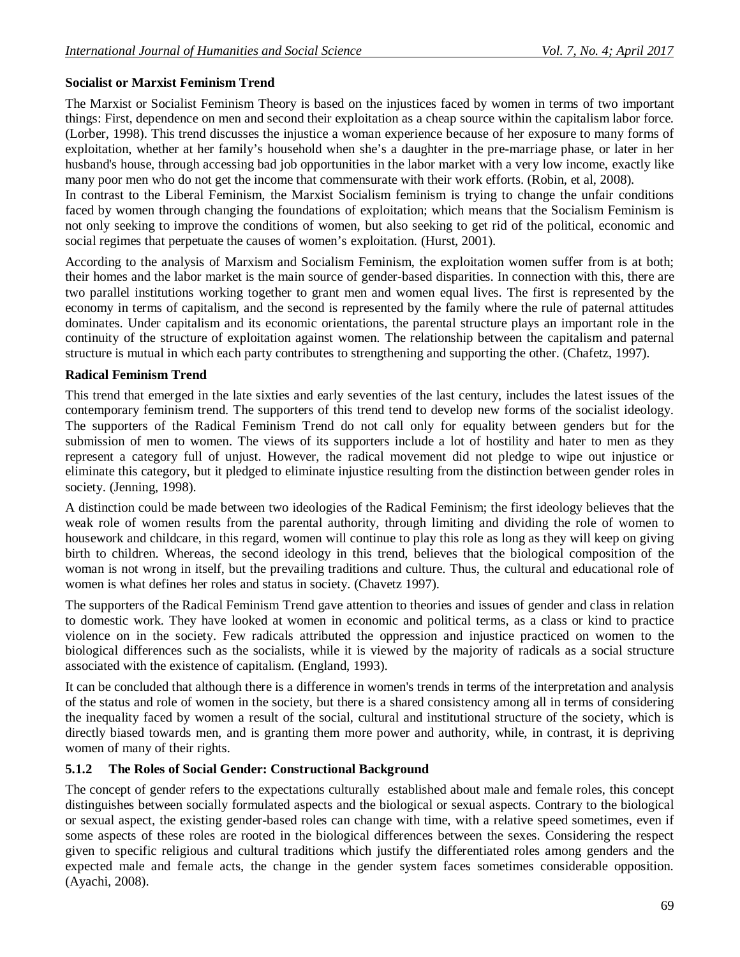## **Socialist or Marxist Feminism Trend**

The Marxist or Socialist Feminism Theory is based on the injustices faced by women in terms of two important things: First, dependence on men and second their exploitation as a cheap source within the capitalism labor force. (Lorber, 1998). This trend discusses the injustice a woman experience because of her exposure to many forms of exploitation, whether at her family's household when she's a daughter in the pre-marriage phase, or later in her husband's house, through accessing bad job opportunities in the labor market with a very low income, exactly like many poor men who do not get the income that commensurate with their work efforts. (Robin, et al, 2008).

In contrast to the Liberal Feminism, the Marxist Socialism feminism is trying to change the unfair conditions faced by women through changing the foundations of exploitation; which means that the Socialism Feminism is not only seeking to improve the conditions of women, but also seeking to get rid of the political, economic and social regimes that perpetuate the causes of women's exploitation. (Hurst, 2001).

According to the analysis of Marxism and Socialism Feminism, the exploitation women suffer from is at both; their homes and the labor market is the main source of gender-based disparities. In connection with this, there are two parallel institutions working together to grant men and women equal lives. The first is represented by the economy in terms of capitalism, and the second is represented by the family where the rule of paternal attitudes dominates. Under capitalism and its economic orientations, the parental structure plays an important role in the continuity of the structure of exploitation against women. The relationship between the capitalism and paternal structure is mutual in which each party contributes to strengthening and supporting the other. (Chafetz, 1997).

#### **Radical Feminism Trend**

This trend that emerged in the late sixties and early seventies of the last century, includes the latest issues of the contemporary feminism trend. The supporters of this trend tend to develop new forms of the socialist ideology. The supporters of the Radical Feminism Trend do not call only for equality between genders but for the submission of men to women. The views of its supporters include a lot of hostility and hater to men as they represent a category full of unjust. However, the radical movement did not pledge to wipe out injustice or eliminate this category, but it pledged to eliminate injustice resulting from the distinction between gender roles in society. (Jenning, 1998).

A distinction could be made between two ideologies of the Radical Feminism; the first ideology believes that the weak role of women results from the parental authority, through limiting and dividing the role of women to housework and childcare, in this regard, women will continue to play this role as long as they will keep on giving birth to children. Whereas, the second ideology in this trend, believes that the biological composition of the woman is not wrong in itself, but the prevailing traditions and culture. Thus, the cultural and educational role of women is what defines her roles and status in society. (Chavetz 1997).

The supporters of the Radical Feminism Trend gave attention to theories and issues of gender and class in relation to domestic work. They have looked at women in economic and political terms, as a class or kind to practice violence on in the society. Few radicals attributed the oppression and injustice practiced on women to the biological differences such as the socialists, while it is viewed by the majority of radicals as a social structure associated with the existence of capitalism. (England, 1993).

It can be concluded that although there is a difference in women's trends in terms of the interpretation and analysis of the status and role of women in the society, but there is a shared consistency among all in terms of considering the inequality faced by women a result of the social, cultural and institutional structure of the society, which is directly biased towards men, and is granting them more power and authority, while, in contrast, it is depriving women of many of their rights.

### **5.1.2 The Roles of Social Gender: Constructional Background**

The concept of gender refers to the expectations culturally established about male and female roles, this concept distinguishes between socially formulated aspects and the biological or sexual aspects. Contrary to the biological or sexual aspect, the existing gender-based roles can change with time, with a relative speed sometimes, even if some aspects of these roles are rooted in the biological differences between the sexes. Considering the respect given to specific religious and cultural traditions which justify the differentiated roles among genders and the expected male and female acts, the change in the gender system faces sometimes considerable opposition. (Ayachi, 2008).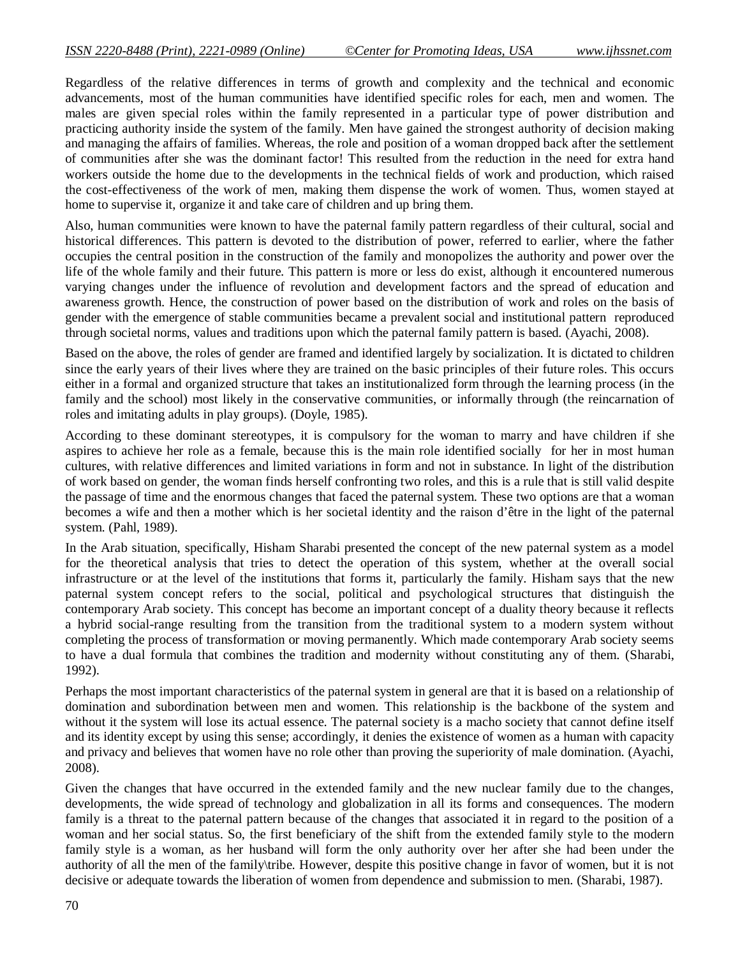Regardless of the relative differences in terms of growth and complexity and the technical and economic advancements, most of the human communities have identified specific roles for each, men and women. The males are given special roles within the family represented in a particular type of power distribution and practicing authority inside the system of the family. Men have gained the strongest authority of decision making and managing the affairs of families. Whereas, the role and position of a woman dropped back after the settlement of communities after she was the dominant factor! This resulted from the reduction in the need for extra hand workers outside the home due to the developments in the technical fields of work and production, which raised the cost-effectiveness of the work of men, making them dispense the work of women. Thus, women stayed at home to supervise it, organize it and take care of children and up bring them.

Also, human communities were known to have the paternal family pattern regardless of their cultural, social and historical differences. This pattern is devoted to the distribution of power, referred to earlier, where the father occupies the central position in the construction of the family and monopolizes the authority and power over the life of the whole family and their future. This pattern is more or less do exist, although it encountered numerous varying changes under the influence of revolution and development factors and the spread of education and awareness growth. Hence, the construction of power based on the distribution of work and roles on the basis of gender with the emergence of stable communities became a prevalent social and institutional pattern reproduced through societal norms, values and traditions upon which the paternal family pattern is based. (Ayachi, 2008).

Based on the above, the roles of gender are framed and identified largely by socialization. It is dictated to children since the early years of their lives where they are trained on the basic principles of their future roles. This occurs either in a formal and organized structure that takes an institutionalized form through the learning process (in the family and the school) most likely in the conservative communities, or informally through (the reincarnation of roles and imitating adults in play groups). (Doyle, 1985).

According to these dominant stereotypes, it is compulsory for the woman to marry and have children if she aspires to achieve her role as a female, because this is the main role identified socially for her in most human cultures, with relative differences and limited variations in form and not in substance. In light of the distribution of work based on gender, the woman finds herself confronting two roles, and this is a rule that is still valid despite the passage of time and the enormous changes that faced the paternal system. These two options are that a woman becomes a wife and then a mother which is her societal identity and the raison d'être in the light of the paternal system. (Pahl, 1989).

In the Arab situation, specifically, Hisham Sharabi presented the concept of the new paternal system as a model for the theoretical analysis that tries to detect the operation of this system, whether at the overall social infrastructure or at the level of the institutions that forms it, particularly the family. Hisham says that the new paternal system concept refers to the social, political and psychological structures that distinguish the contemporary Arab society. This concept has become an important concept of a duality theory because it reflects a hybrid social-range resulting from the transition from the traditional system to a modern system without completing the process of transformation or moving permanently. Which made contemporary Arab society seems to have a dual formula that combines the tradition and modernity without constituting any of them. (Sharabi, 1992).

Perhaps the most important characteristics of the paternal system in general are that it is based on a relationship of domination and subordination between men and women. This relationship is the backbone of the system and without it the system will lose its actual essence. The paternal society is a macho society that cannot define itself and its identity except by using this sense; accordingly, it denies the existence of women as a human with capacity and privacy and believes that women have no role other than proving the superiority of male domination. (Ayachi, 2008).

Given the changes that have occurred in the extended family and the new nuclear family due to the changes, developments, the wide spread of technology and globalization in all its forms and consequences. The modern family is a threat to the paternal pattern because of the changes that associated it in regard to the position of a woman and her social status. So, the first beneficiary of the shift from the extended family style to the modern family style is a woman, as her husband will form the only authority over her after she had been under the authority of all the men of the family\tribe. However, despite this positive change in favor of women, but it is not decisive or adequate towards the liberation of women from dependence and submission to men. (Sharabi, 1987).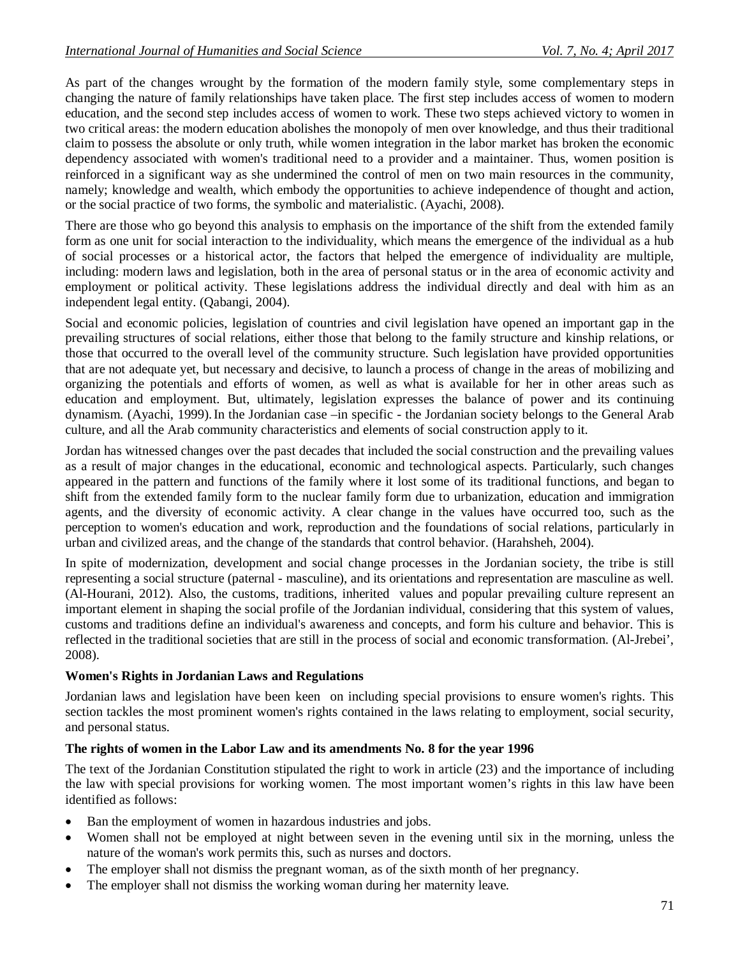As part of the changes wrought by the formation of the modern family style, some complementary steps in changing the nature of family relationships have taken place. The first step includes access of women to modern education, and the second step includes access of women to work. These two steps achieved victory to women in two critical areas: the modern education abolishes the monopoly of men over knowledge, and thus their traditional claim to possess the absolute or only truth, while women integration in the labor market has broken the economic dependency associated with women's traditional need to a provider and a maintainer. Thus, women position is reinforced in a significant way as she undermined the control of men on two main resources in the community, namely; knowledge and wealth, which embody the opportunities to achieve independence of thought and action, or the social practice of two forms, the symbolic and materialistic. (Ayachi, 2008).

There are those who go beyond this analysis to emphasis on the importance of the shift from the extended family form as one unit for social interaction to the individuality, which means the emergence of the individual as a hub of social processes or a historical actor, the factors that helped the emergence of individuality are multiple, including: modern laws and legislation, both in the area of personal status or in the area of economic activity and employment or political activity. These legislations address the individual directly and deal with him as an independent legal entity. (Qabangi, 2004).

Social and economic policies, legislation of countries and civil legislation have opened an important gap in the prevailing structures of social relations, either those that belong to the family structure and kinship relations, or those that occurred to the overall level of the community structure. Such legislation have provided opportunities that are not adequate yet, but necessary and decisive, to launch a process of change in the areas of mobilizing and organizing the potentials and efforts of women, as well as what is available for her in other areas such as education and employment. But, ultimately, legislation expresses the balance of power and its continuing dynamism. (Ayachi, 1999).In the Jordanian case –in specific - the Jordanian society belongs to the General Arab culture, and all the Arab community characteristics and elements of social construction apply to it.

Jordan has witnessed changes over the past decades that included the social construction and the prevailing values as a result of major changes in the educational, economic and technological aspects. Particularly, such changes appeared in the pattern and functions of the family where it lost some of its traditional functions, and began to shift from the extended family form to the nuclear family form due to urbanization, education and immigration agents, and the diversity of economic activity. A clear change in the values have occurred too, such as the perception to women's education and work, reproduction and the foundations of social relations, particularly in urban and civilized areas, and the change of the standards that control behavior. (Harahsheh, 2004).

In spite of modernization, development and social change processes in the Jordanian society, the tribe is still representing a social structure (paternal - masculine), and its orientations and representation are masculine as well. (Al-Hourani, 2012). Also, the customs, traditions, inherited values and popular prevailing culture represent an important element in shaping the social profile of the Jordanian individual, considering that this system of values, customs and traditions define an individual's awareness and concepts, and form his culture and behavior. This is reflected in the traditional societies that are still in the process of social and economic transformation. (Al-Jrebei', 2008).

### **Women's Rights in Jordanian Laws and Regulations**

Jordanian laws and legislation have been keen on including special provisions to ensure women's rights. This section tackles the most prominent women's rights contained in the laws relating to employment, social security, and personal status.

### **The rights of women in the Labor Law and its amendments No. 8 for the year 1996**

The text of the Jordanian Constitution stipulated the right to work in article (23) and the importance of including the law with special provisions for working women. The most important women's rights in this law have been identified as follows:

- Ban the employment of women in hazardous industries and jobs.
- Women shall not be employed at night between seven in the evening until six in the morning, unless the nature of the woman's work permits this, such as nurses and doctors.
- The employer shall not dismiss the pregnant woman, as of the sixth month of her pregnancy.
- The employer shall not dismiss the working woman during her maternity leave.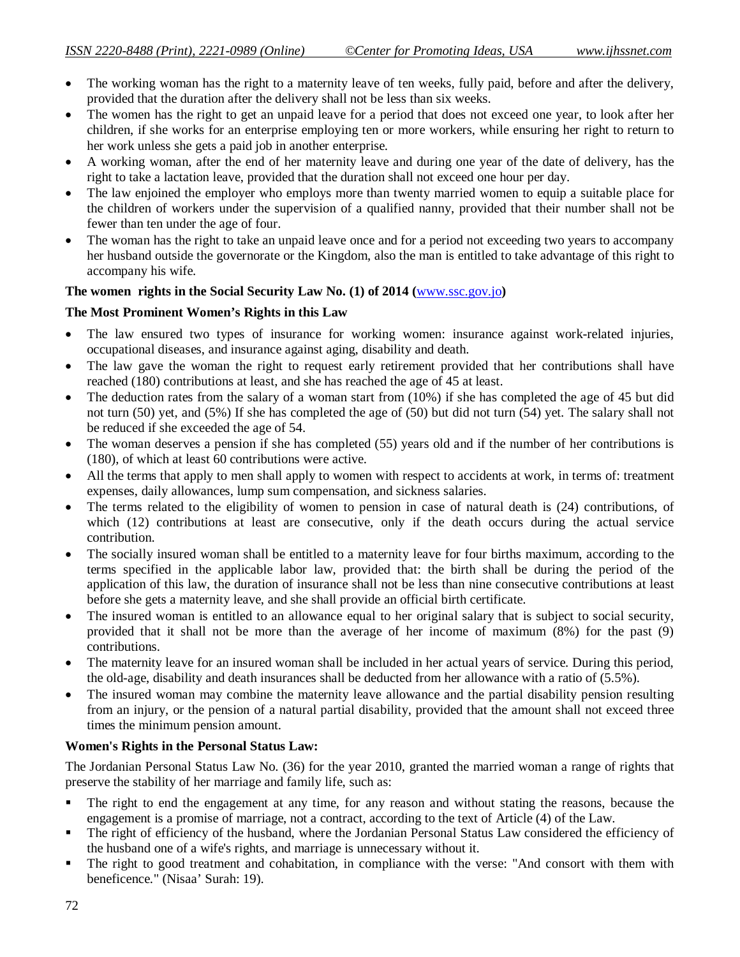- The working woman has the right to a maternity leave of ten weeks, fully paid, before and after the delivery, provided that the duration after the delivery shall not be less than six weeks.
- The women has the right to get an unpaid leave for a period that does not exceed one year, to look after her children, if she works for an enterprise employing ten or more workers, while ensuring her right to return to her work unless she gets a paid job in another enterprise.
- A working woman, after the end of her maternity leave and during one year of the date of delivery, has the right to take a lactation leave, provided that the duration shall not exceed one hour per day.
- The law enjoined the employer who employs more than twenty married women to equip a suitable place for the children of workers under the supervision of a qualified nanny, provided that their number shall not be fewer than ten under the age of four.
- The woman has the right to take an unpaid leave once and for a period not exceeding two years to accompany her husband outside the governorate or the Kingdom, also the man is entitled to take advantage of this right to accompany his wife.

### **The women rights in the Social Security Law No. (1) of 2014 (**www.ssc.gov.jo**)**

### **The Most Prominent Women's Rights in this Law**

- The law ensured two types of insurance for working women: insurance against work-related injuries, occupational diseases, and insurance against aging, disability and death.
- The law gave the woman the right to request early retirement provided that her contributions shall have reached (180) contributions at least, and she has reached the age of 45 at least.
- The deduction rates from the salary of a woman start from (10%) if she has completed the age of 45 but did not turn (50) yet, and (5%) If she has completed the age of (50) but did not turn (54) yet. The salary shall not be reduced if she exceeded the age of 54.
- The woman deserves a pension if she has completed (55) years old and if the number of her contributions is (180), of which at least 60 contributions were active.
- All the terms that apply to men shall apply to women with respect to accidents at work, in terms of: treatment expenses, daily allowances, lump sum compensation, and sickness salaries.
- The terms related to the eligibility of women to pension in case of natural death is (24) contributions, of which (12) contributions at least are consecutive, only if the death occurs during the actual service contribution.
- The socially insured woman shall be entitled to a maternity leave for four births maximum, according to the terms specified in the applicable labor law, provided that: the birth shall be during the period of the application of this law, the duration of insurance shall not be less than nine consecutive contributions at least before she gets a maternity leave, and she shall provide an official birth certificate.
- The insured woman is entitled to an allowance equal to her original salary that is subject to social security, provided that it shall not be more than the average of her income of maximum (8%) for the past (9) contributions.
- The maternity leave for an insured woman shall be included in her actual years of service. During this period, the old-age, disability and death insurances shall be deducted from her allowance with a ratio of (5.5%).
- The insured woman may combine the maternity leave allowance and the partial disability pension resulting from an injury, or the pension of a natural partial disability, provided that the amount shall not exceed three times the minimum pension amount.

### **Women's Rights in the Personal Status Law:**

The Jordanian Personal Status Law No. (36) for the year 2010, granted the married woman a range of rights that preserve the stability of her marriage and family life, such as:

- The right to end the engagement at any time, for any reason and without stating the reasons, because the engagement is a promise of marriage, not a contract, according to the text of Article (4) of the Law.
- The right of efficiency of the husband, where the Jordanian Personal Status Law considered the efficiency of the husband one of a wife's rights, and marriage is unnecessary without it.
- The right to good treatment and cohabitation, in compliance with the verse: "And consort with them with beneficence." (Nisaa' Surah: 19).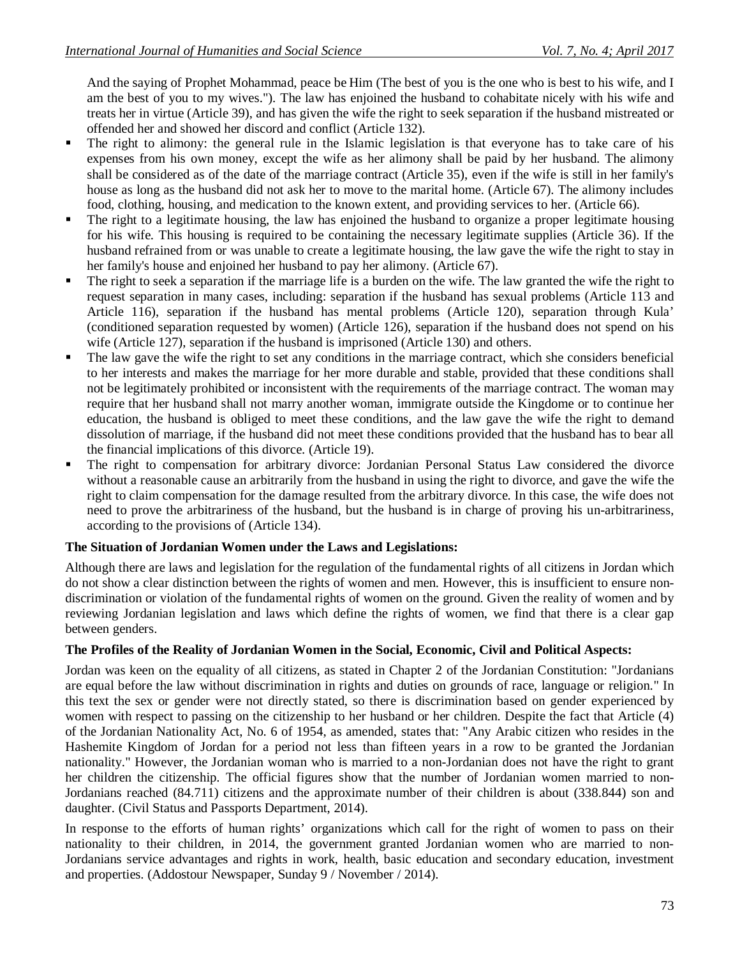And the saying of Prophet Mohammad, peace be Him (The best of you is the one who is best to his wife, and I am the best of you to my wives."). The law has enjoined the husband to cohabitate nicely with his wife and treats her in virtue (Article 39), and has given the wife the right to seek separation if the husband mistreated or offended her and showed her discord and conflict (Article 132).

- The right to alimony: the general rule in the Islamic legislation is that everyone has to take care of his expenses from his own money, except the wife as her alimony shall be paid by her husband. The alimony shall be considered as of the date of the marriage contract (Article 35), even if the wife is still in her family's house as long as the husband did not ask her to move to the marital home. (Article 67). The alimony includes food, clothing, housing, and medication to the known extent, and providing services to her. (Article 66).
- The right to a legitimate housing, the law has enjoined the husband to organize a proper legitimate housing for his wife. This housing is required to be containing the necessary legitimate supplies (Article 36). If the husband refrained from or was unable to create a legitimate housing, the law gave the wife the right to stay in her family's house and enjoined her husband to pay her alimony. (Article 67).
- The right to seek a separation if the marriage life is a burden on the wife. The law granted the wife the right to request separation in many cases, including: separation if the husband has sexual problems (Article 113 and Article 116), separation if the husband has mental problems (Article 120), separation through Kula' (conditioned separation requested by women) (Article 126), separation if the husband does not spend on his wife (Article 127), separation if the husband is imprisoned (Article 130) and others.
- The law gave the wife the right to set any conditions in the marriage contract, which she considers beneficial to her interests and makes the marriage for her more durable and stable, provided that these conditions shall not be legitimately prohibited or inconsistent with the requirements of the marriage contract. The woman may require that her husband shall not marry another woman, immigrate outside the Kingdome or to continue her education, the husband is obliged to meet these conditions, and the law gave the wife the right to demand dissolution of marriage, if the husband did not meet these conditions provided that the husband has to bear all the financial implications of this divorce. (Article 19).
- The right to compensation for arbitrary divorce: Jordanian Personal Status Law considered the divorce without a reasonable cause an arbitrarily from the husband in using the right to divorce, and gave the wife the right to claim compensation for the damage resulted from the arbitrary divorce. In this case, the wife does not need to prove the arbitrariness of the husband, but the husband is in charge of proving his un-arbitrariness, according to the provisions of (Article 134).

### **The Situation of Jordanian Women under the Laws and Legislations:**

Although there are laws and legislation for the regulation of the fundamental rights of all citizens in Jordan which do not show a clear distinction between the rights of women and men. However, this is insufficient to ensure nondiscrimination or violation of the fundamental rights of women on the ground. Given the reality of women and by reviewing Jordanian legislation and laws which define the rights of women, we find that there is a clear gap between genders.

#### **The Profiles of the Reality of Jordanian Women in the Social, Economic, Civil and Political Aspects:**

Jordan was keen on the equality of all citizens, as stated in Chapter 2 of the Jordanian Constitution: "Jordanians are equal before the law without discrimination in rights and duties on grounds of race, language or religion." In this text the sex or gender were not directly stated, so there is discrimination based on gender experienced by women with respect to passing on the citizenship to her husband or her children. Despite the fact that Article (4) of the Jordanian Nationality Act, No. 6 of 1954, as amended, states that: "Any Arabic citizen who resides in the Hashemite Kingdom of Jordan for a period not less than fifteen years in a row to be granted the Jordanian nationality." However, the Jordanian woman who is married to a non-Jordanian does not have the right to grant her children the citizenship. The official figures show that the number of Jordanian women married to non-Jordanians reached (84.711) citizens and the approximate number of their children is about (338.844) son and daughter. (Civil Status and Passports Department, 2014).

In response to the efforts of human rights' organizations which call for the right of women to pass on their nationality to their children, in 2014, the government granted Jordanian women who are married to non-Jordanians service advantages and rights in work, health, basic education and secondary education, investment and properties. (Addostour Newspaper, Sunday 9 / November / 2014).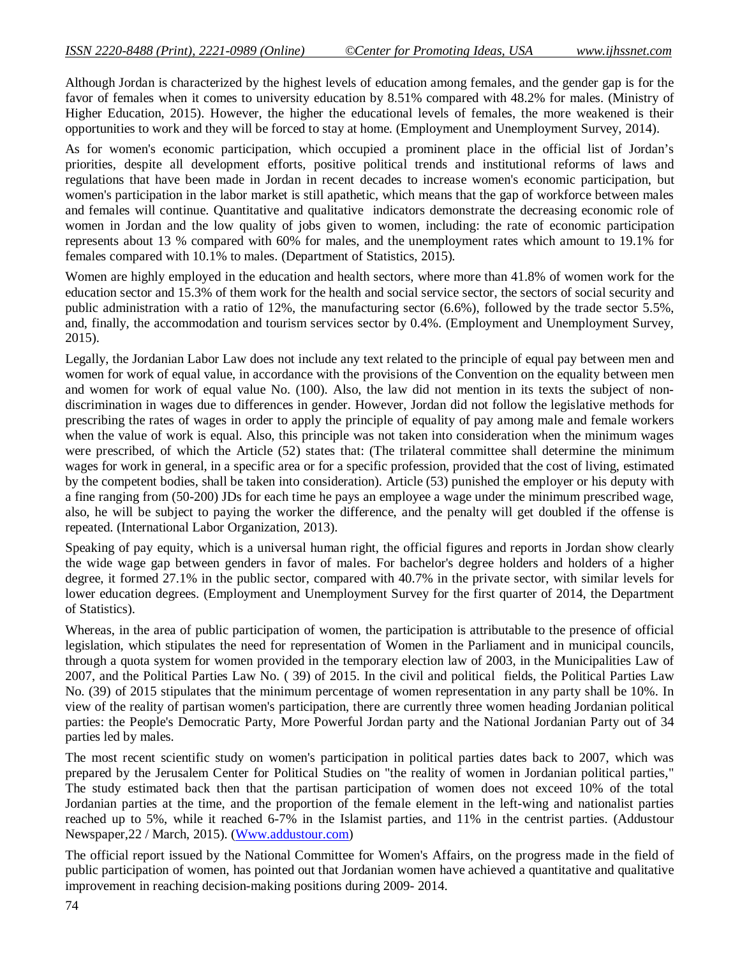Although Jordan is characterized by the highest levels of education among females, and the gender gap is for the favor of females when it comes to university education by 8.51% compared with 48.2% for males. (Ministry of Higher Education, 2015). However, the higher the educational levels of females, the more weakened is their opportunities to work and they will be forced to stay at home. (Employment and Unemployment Survey, 2014).

As for women's economic participation, which occupied a prominent place in the official list of Jordan's priorities, despite all development efforts, positive political trends and institutional reforms of laws and regulations that have been made in Jordan in recent decades to increase women's economic participation, but women's participation in the labor market is still apathetic, which means that the gap of workforce between males and females will continue. Quantitative and qualitative indicators demonstrate the decreasing economic role of women in Jordan and the low quality of jobs given to women, including: the rate of economic participation represents about 13 % compared with 60% for males, and the unemployment rates which amount to 19.1% for females compared with 10.1% to males. (Department of Statistics, 2015).

Women are highly employed in the education and health sectors, where more than 41.8% of women work for the education sector and 15.3% of them work for the health and social service sector, the sectors of social security and public administration with a ratio of 12%, the manufacturing sector (6.6%), followed by the trade sector 5.5%, and, finally, the accommodation and tourism services sector by 0.4%. (Employment and Unemployment Survey, 2015).

Legally, the Jordanian Labor Law does not include any text related to the principle of equal pay between men and women for work of equal value, in accordance with the provisions of the Convention on the equality between men and women for work of equal value No. (100). Also, the law did not mention in its texts the subject of nondiscrimination in wages due to differences in gender. However, Jordan did not follow the legislative methods for prescribing the rates of wages in order to apply the principle of equality of pay among male and female workers when the value of work is equal. Also, this principle was not taken into consideration when the minimum wages were prescribed, of which the Article (52) states that: (The trilateral committee shall determine the minimum wages for work in general, in a specific area or for a specific profession, provided that the cost of living, estimated by the competent bodies, shall be taken into consideration). Article (53) punished the employer or his deputy with a fine ranging from (50-200) JDs for each time he pays an employee a wage under the minimum prescribed wage, also, he will be subject to paying the worker the difference, and the penalty will get doubled if the offense is repeated. (International Labor Organization, 2013).

Speaking of pay equity, which is a universal human right, the official figures and reports in Jordan show clearly the wide wage gap between genders in favor of males. For bachelor's degree holders and holders of a higher degree, it formed 27.1% in the public sector, compared with 40.7% in the private sector, with similar levels for lower education degrees. (Employment and Unemployment Survey for the first quarter of 2014, the Department of Statistics).

Whereas, in the area of public participation of women, the participation is attributable to the presence of official legislation, which stipulates the need for representation of Women in the Parliament and in municipal councils, through a quota system for women provided in the temporary election law of 2003, in the Municipalities Law of 2007, and the Political Parties Law No. ( 39) of 2015. In the civil and political fields, the Political Parties Law No. (39) of 2015 stipulates that the minimum percentage of women representation in any party shall be 10%. In view of the reality of partisan women's participation, there are currently three women heading Jordanian political parties: the People's Democratic Party, More Powerful Jordan party and the National Jordanian Party out of 34 parties led by males.

The most recent scientific study on women's participation in political parties dates back to 2007, which was prepared by the Jerusalem Center for Political Studies on "the reality of women in Jordanian political parties," The study estimated back then that the partisan participation of women does not exceed 10% of the total Jordanian parties at the time, and the proportion of the female element in the left-wing and nationalist parties reached up to 5%, while it reached 6-7% in the Islamist parties, and 11% in the centrist parties. (Addustour Newspaper,22 / March, 2015). (Www.addustour.com)

The official report issued by the National Committee for Women's Affairs, on the progress made in the field of public participation of women, has pointed out that Jordanian women have achieved a quantitative and qualitative improvement in reaching decision-making positions during 2009- 2014.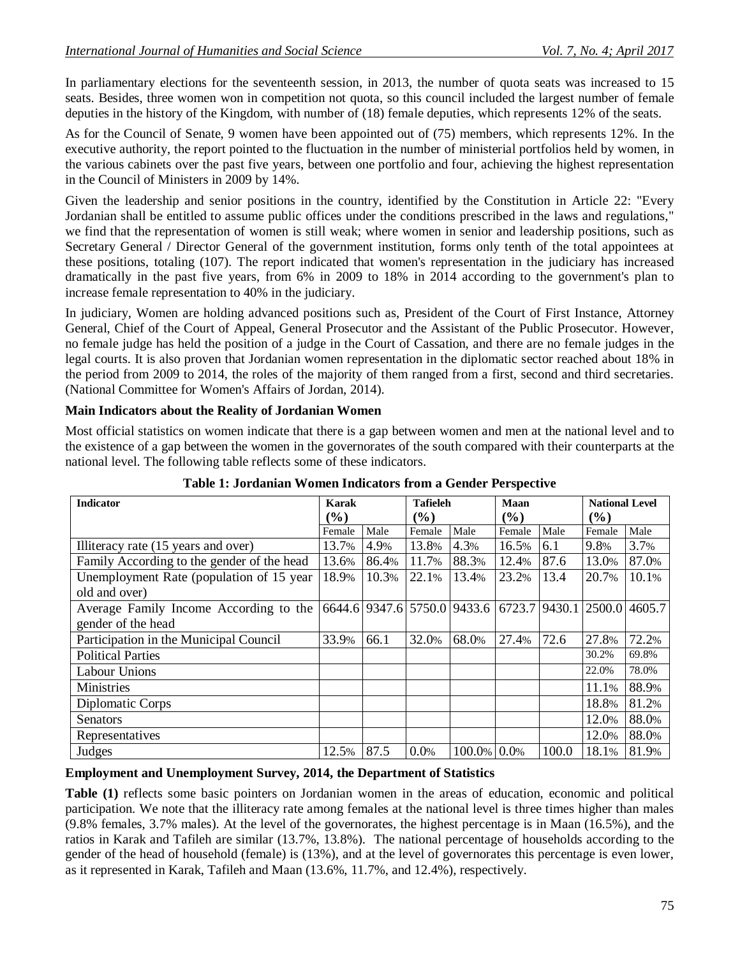In parliamentary elections for the seventeenth session, in 2013, the number of quota seats was increased to 15 seats. Besides, three women won in competition not quota, so this council included the largest number of female deputies in the history of the Kingdom, with number of (18) female deputies, which represents 12% of the seats.

As for the Council of Senate, 9 women have been appointed out of (75) members, which represents 12%. In the executive authority, the report pointed to the fluctuation in the number of ministerial portfolios held by women, in the various cabinets over the past five years, between one portfolio and four, achieving the highest representation in the Council of Ministers in 2009 by 14%.

Given the leadership and senior positions in the country, identified by the Constitution in Article 22: "Every Jordanian shall be entitled to assume public offices under the conditions prescribed in the laws and regulations," we find that the representation of women is still weak; where women in senior and leadership positions, such as Secretary General / Director General of the government institution, forms only tenth of the total appointees at these positions, totaling (107). The report indicated that women's representation in the judiciary has increased dramatically in the past five years, from 6% in 2009 to 18% in 2014 according to the government's plan to increase female representation to 40% in the judiciary.

In judiciary, Women are holding advanced positions such as, President of the Court of First Instance, Attorney General, Chief of the Court of Appeal, General Prosecutor and the Assistant of the Public Prosecutor. However, no female judge has held the position of a judge in the Court of Cassation, and there are no female judges in the legal courts. It is also proven that Jordanian women representation in the diplomatic sector reached about 18% in the period from 2009 to 2014, the roles of the majority of them ranged from a first, second and third secretaries. (National Committee for Women's Affairs of Jordan, 2014).

#### **Main Indicators about the Reality of Jordanian Women**

Most official statistics on women indicate that there is a gap between women and men at the national level and to the existence of a gap between the women in the governorates of the south compared with their counterparts at the national level. The following table reflects some of these indicators.

| <b>Indicator</b>                           | Karak  |       | <b>Tafieleh</b> |                             | Maan   |               | <b>National Level</b> |        |
|--------------------------------------------|--------|-------|-----------------|-----------------------------|--------|---------------|-----------------------|--------|
|                                            | $(\%)$ |       | $($ %)          |                             | (%)    |               | $($ %)                |        |
|                                            |        |       |                 |                             |        |               |                       |        |
|                                            | Female | Male  | Female          | Male                        | Female | Male          | Female                | Male   |
| Illiteracy rate (15 years and over)        | 13.7%  | 4.9%  | 13.8%           | 4.3%                        | 16.5%  | 6.1           | 9.8%                  | 3.7%   |
| Family According to the gender of the head | 13.6%  | 86.4% | 11.7%           | 88.3%                       | 12.4%  | 87.6          | 13.0%                 | 87.0%  |
| Unemployment Rate (population of 15 year   | 18.9%  | 10.3% | 22.1%           | 13.4%                       | 23.2%  | 13.4          | 20.7%                 | 10.1%  |
| old and over)                              |        |       |                 |                             |        |               |                       |        |
| Average Family Income According to the     |        |       |                 | 6644.6 9347.6 5750.0 9433.6 | 6723.7 | 9430.1 2500.0 |                       | 4605.7 |
| gender of the head                         |        |       |                 |                             |        |               |                       |        |
| Participation in the Municipal Council     | 33.9%  | 66.1  | 32.0%           | 68.0%                       | 27.4%  | 72.6          | 27.8%                 | 72.2%  |
| <b>Political Parties</b>                   |        |       |                 |                             |        |               | 30.2%                 | 69.8%  |
| <b>Labour Unions</b>                       |        |       |                 |                             |        |               | 22.0%                 | 78.0%  |
| <b>Ministries</b>                          |        |       |                 |                             |        |               | 11.1%                 | 88.9%  |
| Diplomatic Corps                           |        |       |                 |                             |        |               | 18.8%                 | 81.2%  |
| Senators                                   |        |       |                 |                             |        |               | 12.0%                 | 88.0%  |
| Representatives                            |        |       |                 |                             |        |               | 12.0%                 | 88.0%  |
| Judges                                     | 12.5%  | 87.5  | 0.0%            | 100.0% 0.0%                 |        | 100.0         | 18.1%                 | 81.9%  |

### **Table 1: Jordanian Women Indicators from a Gender Perspective**

#### **Employment and Unemployment Survey, 2014, the Department of Statistics**

**Table (1)** reflects some basic pointers on Jordanian women in the areas of education, economic and political participation. We note that the illiteracy rate among females at the national level is three times higher than males (9.8% females, 3.7% males). At the level of the governorates, the highest percentage is in Maan (16.5%), and the ratios in Karak and Tafileh are similar (13.7%, 13.8%). The national percentage of households according to the gender of the head of household (female) is (13%), and at the level of governorates this percentage is even lower, as it represented in Karak, Tafileh and Maan (13.6%, 11.7%, and 12.4%), respectively.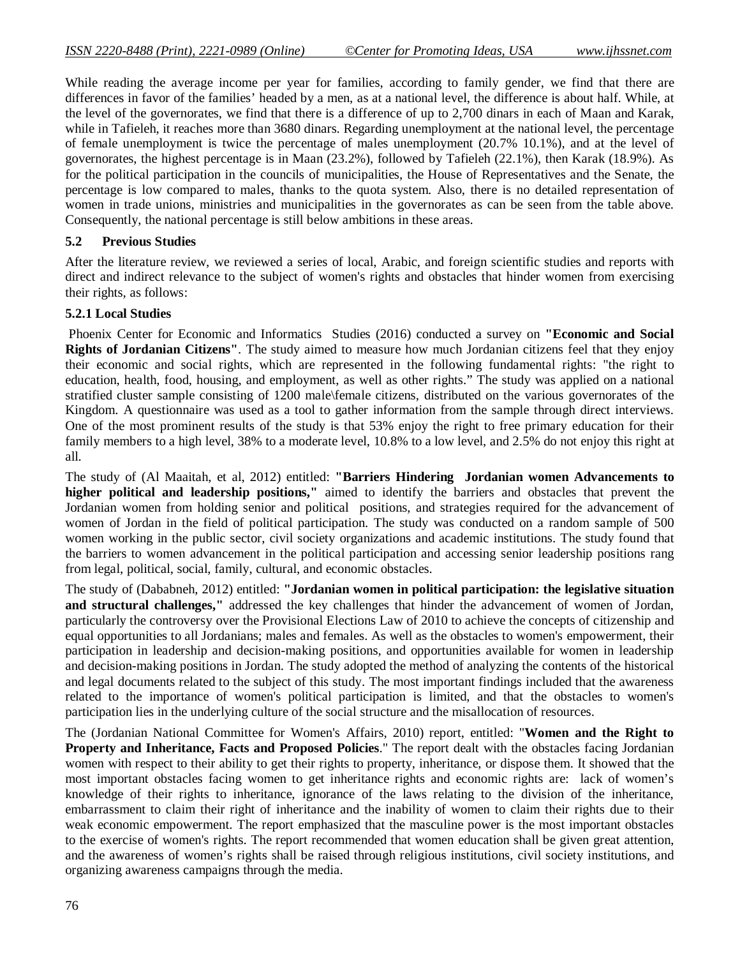While reading the average income per year for families, according to family gender, we find that there are differences in favor of the families' headed by a men, as at a national level, the difference is about half. While, at the level of the governorates, we find that there is a difference of up to 2,700 dinars in each of Maan and Karak, while in Tafieleh, it reaches more than 3680 dinars. Regarding unemployment at the national level, the percentage of female unemployment is twice the percentage of males unemployment (20.7% 10.1%), and at the level of governorates, the highest percentage is in Maan (23.2%), followed by Tafieleh (22.1%), then Karak (18.9%). As for the political participation in the councils of municipalities, the House of Representatives and the Senate, the percentage is low compared to males, thanks to the quota system. Also, there is no detailed representation of women in trade unions, ministries and municipalities in the governorates as can be seen from the table above. Consequently, the national percentage is still below ambitions in these areas.

#### **5.2 Previous Studies**

After the literature review, we reviewed a series of local, Arabic, and foreign scientific studies and reports with direct and indirect relevance to the subject of women's rights and obstacles that hinder women from exercising their rights, as follows:

#### **5.2.1 Local Studies**

Phoenix Center for Economic and Informatics Studies (2016) conducted a survey on **"Economic and Social Rights of Jordanian Citizens"**. The study aimed to measure how much Jordanian citizens feel that they enjoy their economic and social rights, which are represented in the following fundamental rights: "the right to education, health, food, housing, and employment, as well as other rights." The study was applied on a national stratified cluster sample consisting of 1200 male\female citizens, distributed on the various governorates of the Kingdom. A questionnaire was used as a tool to gather information from the sample through direct interviews. One of the most prominent results of the study is that 53% enjoy the right to free primary education for their family members to a high level, 38% to a moderate level, 10.8% to a low level, and 2.5% do not enjoy this right at all.

The study of (Al Maaitah, et al, 2012) entitled: **"Barriers Hindering Jordanian women Advancements to higher political and leadership positions,"** aimed to identify the barriers and obstacles that prevent the Jordanian women from holding senior and political positions, and strategies required for the advancement of women of Jordan in the field of political participation. The study was conducted on a random sample of 500 women working in the public sector, civil society organizations and academic institutions. The study found that the barriers to women advancement in the political participation and accessing senior leadership positions rang from legal, political, social, family, cultural, and economic obstacles.

The study of (Dababneh, 2012) entitled: **"Jordanian women in political participation: the legislative situation and structural challenges,"** addressed the key challenges that hinder the advancement of women of Jordan, particularly the controversy over the Provisional Elections Law of 2010 to achieve the concepts of citizenship and equal opportunities to all Jordanians; males and females. As well as the obstacles to women's empowerment, their participation in leadership and decision-making positions, and opportunities available for women in leadership and decision-making positions in Jordan. The study adopted the method of analyzing the contents of the historical and legal documents related to the subject of this study. The most important findings included that the awareness related to the importance of women's political participation is limited, and that the obstacles to women's participation lies in the underlying culture of the social structure and the misallocation of resources.

The (Jordanian National Committee for Women's Affairs, 2010) report, entitled: "**Women and the Right to Property and Inheritance, Facts and Proposed Policies**." The report dealt with the obstacles facing Jordanian women with respect to their ability to get their rights to property, inheritance, or dispose them. It showed that the most important obstacles facing women to get inheritance rights and economic rights are: lack of women's knowledge of their rights to inheritance, ignorance of the laws relating to the division of the inheritance, embarrassment to claim their right of inheritance and the inability of women to claim their rights due to their weak economic empowerment. The report emphasized that the masculine power is the most important obstacles to the exercise of women's rights. The report recommended that women education shall be given great attention, and the awareness of women's rights shall be raised through religious institutions, civil society institutions, and organizing awareness campaigns through the media.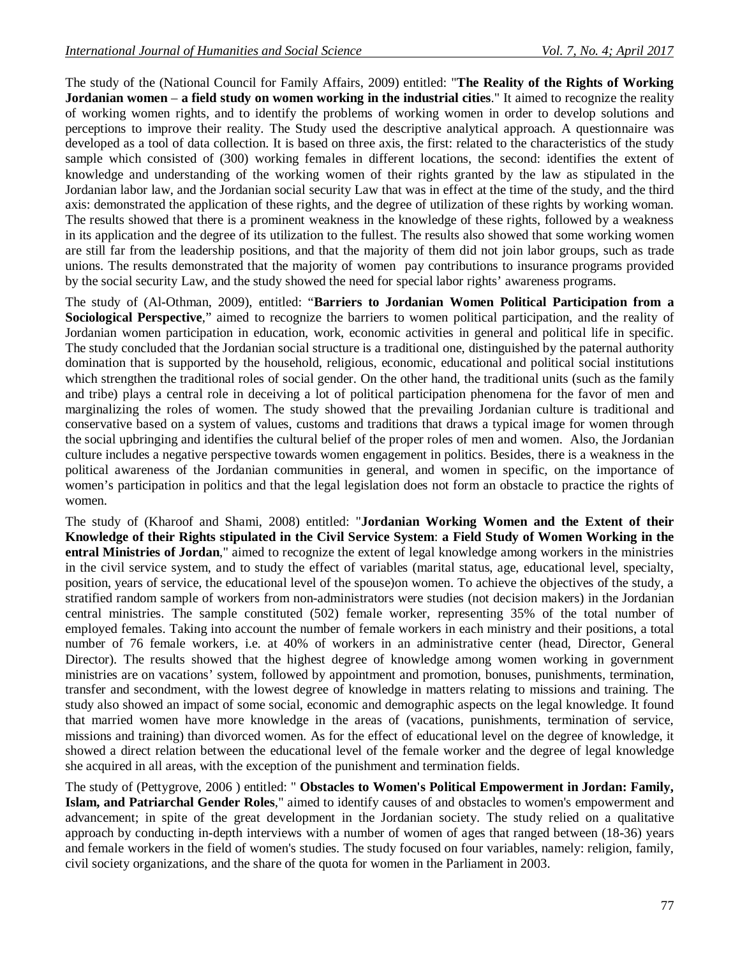The study of the (National Council for Family Affairs, 2009) entitled: "**The Reality of the Rights of Working Jordanian women** – **a field study on women working in the industrial cities**." It aimed to recognize the reality of working women rights, and to identify the problems of working women in order to develop solutions and perceptions to improve their reality. The Study used the descriptive analytical approach. A questionnaire was developed as a tool of data collection. It is based on three axis, the first: related to the characteristics of the study sample which consisted of (300) working females in different locations, the second: identifies the extent of knowledge and understanding of the working women of their rights granted by the law as stipulated in the Jordanian labor law, and the Jordanian social security Law that was in effect at the time of the study, and the third axis: demonstrated the application of these rights, and the degree of utilization of these rights by working woman. The results showed that there is a prominent weakness in the knowledge of these rights, followed by a weakness in its application and the degree of its utilization to the fullest. The results also showed that some working women are still far from the leadership positions, and that the majority of them did not join labor groups, such as trade unions. The results demonstrated that the majority of women pay contributions to insurance programs provided by the social security Law, and the study showed the need for special labor rights' awareness programs.

The study of (Al-Othman, 2009), entitled: "**Barriers to Jordanian Women Political Participation from a Sociological Perspective**," aimed to recognize the barriers to women political participation, and the reality of Jordanian women participation in education, work, economic activities in general and political life in specific. The study concluded that the Jordanian social structure is a traditional one, distinguished by the paternal authority domination that is supported by the household, religious, economic, educational and political social institutions which strengthen the traditional roles of social gender. On the other hand, the traditional units (such as the family and tribe) plays a central role in deceiving a lot of political participation phenomena for the favor of men and marginalizing the roles of women. The study showed that the prevailing Jordanian culture is traditional and conservative based on a system of values, customs and traditions that draws a typical image for women through the social upbringing and identifies the cultural belief of the proper roles of men and women. Also, the Jordanian culture includes a negative perspective towards women engagement in politics. Besides, there is a weakness in the political awareness of the Jordanian communities in general, and women in specific, on the importance of women's participation in politics and that the legal legislation does not form an obstacle to practice the rights of women.

The study of (Kharoof and Shami, 2008) entitled: "**Jordanian Working Women and the Extent of their Knowledge of their Rights stipulated in the Civil Service System**: **a Field Study of Women Working in the entral Ministries of Jordan**," aimed to recognize the extent of legal knowledge among workers in the ministries in the civil service system, and to study the effect of variables (marital status, age, educational level, specialty, position, years of service, the educational level of the spouse)on women. To achieve the objectives of the study, a stratified random sample of workers from non-administrators were studies (not decision makers) in the Jordanian central ministries. The sample constituted (502) female worker, representing 35% of the total number of employed females. Taking into account the number of female workers in each ministry and their positions, a total number of 76 female workers, i.e. at 40% of workers in an administrative center (head, Director, General Director). The results showed that the highest degree of knowledge among women working in government ministries are on vacations' system, followed by appointment and promotion, bonuses, punishments, termination, transfer and secondment, with the lowest degree of knowledge in matters relating to missions and training. The study also showed an impact of some social, economic and demographic aspects on the legal knowledge. It found that married women have more knowledge in the areas of (vacations, punishments, termination of service, missions and training) than divorced women. As for the effect of educational level on the degree of knowledge, it showed a direct relation between the educational level of the female worker and the degree of legal knowledge she acquired in all areas, with the exception of the punishment and termination fields.

The study of (Pettygrove, 2006 ) entitled: " **Obstacles to Women's Political Empowerment in Jordan: Family, Islam, and Patriarchal Gender Roles**," aimed to identify causes of and obstacles to women's empowerment and advancement; in spite of the great development in the Jordanian society. The study relied on a qualitative approach by conducting in-depth interviews with a number of women of ages that ranged between (18-36) years and female workers in the field of women's studies. The study focused on four variables, namely: religion, family, civil society organizations, and the share of the quota for women in the Parliament in 2003.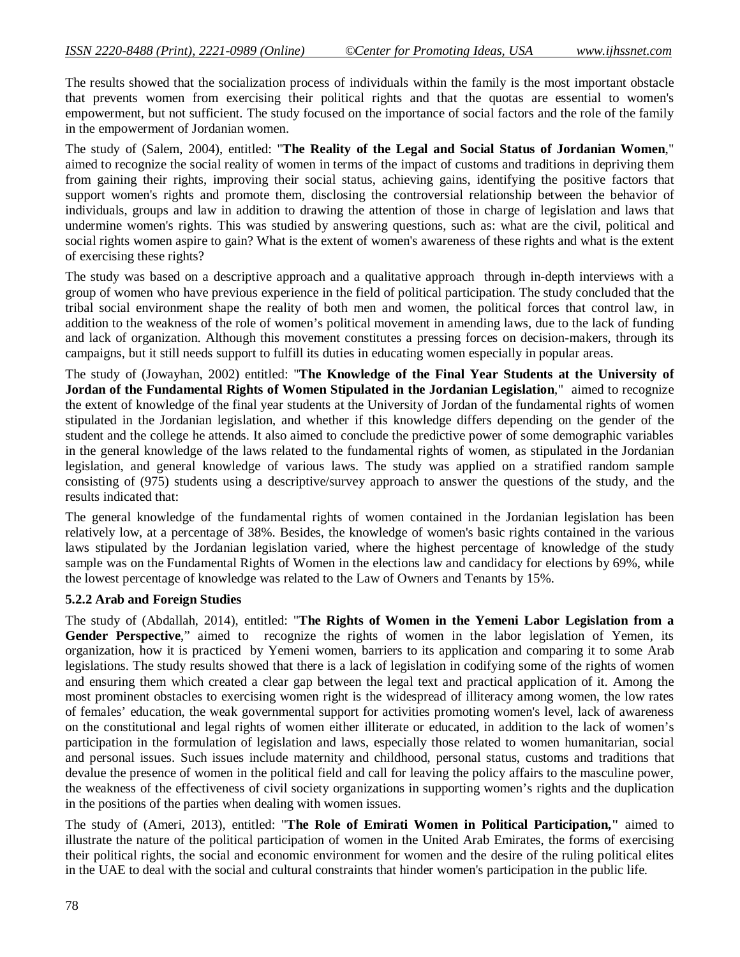The results showed that the socialization process of individuals within the family is the most important obstacle that prevents women from exercising their political rights and that the quotas are essential to women's empowerment, but not sufficient. The study focused on the importance of social factors and the role of the family in the empowerment of Jordanian women.

The study of (Salem, 2004), entitled: "**The Reality of the Legal and Social Status of Jordanian Women**," aimed to recognize the social reality of women in terms of the impact of customs and traditions in depriving them from gaining their rights, improving their social status, achieving gains, identifying the positive factors that support women's rights and promote them, disclosing the controversial relationship between the behavior of individuals, groups and law in addition to drawing the attention of those in charge of legislation and laws that undermine women's rights. This was studied by answering questions, such as: what are the civil, political and social rights women aspire to gain? What is the extent of women's awareness of these rights and what is the extent of exercising these rights?

The study was based on a descriptive approach and a qualitative approach through in-depth interviews with a group of women who have previous experience in the field of political participation. The study concluded that the tribal social environment shape the reality of both men and women, the political forces that control law, in addition to the weakness of the role of women's political movement in amending laws, due to the lack of funding and lack of organization. Although this movement constitutes a pressing forces on decision-makers, through its campaigns, but it still needs support to fulfill its duties in educating women especially in popular areas.

The study of (Jowayhan, 2002) entitled: "**The Knowledge of the Final Year Students at the University of Jordan of the Fundamental Rights of Women Stipulated in the Jordanian Legislation**," aimed to recognize the extent of knowledge of the final year students at the University of Jordan of the fundamental rights of women stipulated in the Jordanian legislation, and whether if this knowledge differs depending on the gender of the student and the college he attends. It also aimed to conclude the predictive power of some demographic variables in the general knowledge of the laws related to the fundamental rights of women, as stipulated in the Jordanian legislation, and general knowledge of various laws. The study was applied on a stratified random sample consisting of (975) students using a descriptive/survey approach to answer the questions of the study, and the results indicated that:

The general knowledge of the fundamental rights of women contained in the Jordanian legislation has been relatively low, at a percentage of 38%. Besides, the knowledge of women's basic rights contained in the various laws stipulated by the Jordanian legislation varied, where the highest percentage of knowledge of the study sample was on the Fundamental Rights of Women in the elections law and candidacy for elections by 69%, while the lowest percentage of knowledge was related to the Law of Owners and Tenants by 15%.

#### **5.2.2 Arab and Foreign Studies**

The study of (Abdallah, 2014), entitled: "**The Rights of Women in the Yemeni Labor Legislation from a**  Gender Perspective," aimed to recognize the rights of women in the labor legislation of Yemen, its organization, how it is practiced by Yemeni women, barriers to its application and comparing it to some Arab legislations. The study results showed that there is a lack of legislation in codifying some of the rights of women and ensuring them which created a clear gap between the legal text and practical application of it. Among the most prominent obstacles to exercising women right is the widespread of illiteracy among women, the low rates of females' education, the weak governmental support for activities promoting women's level, lack of awareness on the constitutional and legal rights of women either illiterate or educated, in addition to the lack of women's participation in the formulation of legislation and laws, especially those related to women humanitarian, social and personal issues. Such issues include maternity and childhood, personal status, customs and traditions that devalue the presence of women in the political field and call for leaving the policy affairs to the masculine power, the weakness of the effectiveness of civil society organizations in supporting women's rights and the duplication in the positions of the parties when dealing with women issues.

The study of (Ameri, 2013), entitled: "**The Role of Emirati Women in Political Participation,"** aimed to illustrate the nature of the political participation of women in the United Arab Emirates, the forms of exercising their political rights, the social and economic environment for women and the desire of the ruling political elites in the UAE to deal with the social and cultural constraints that hinder women's participation in the public life.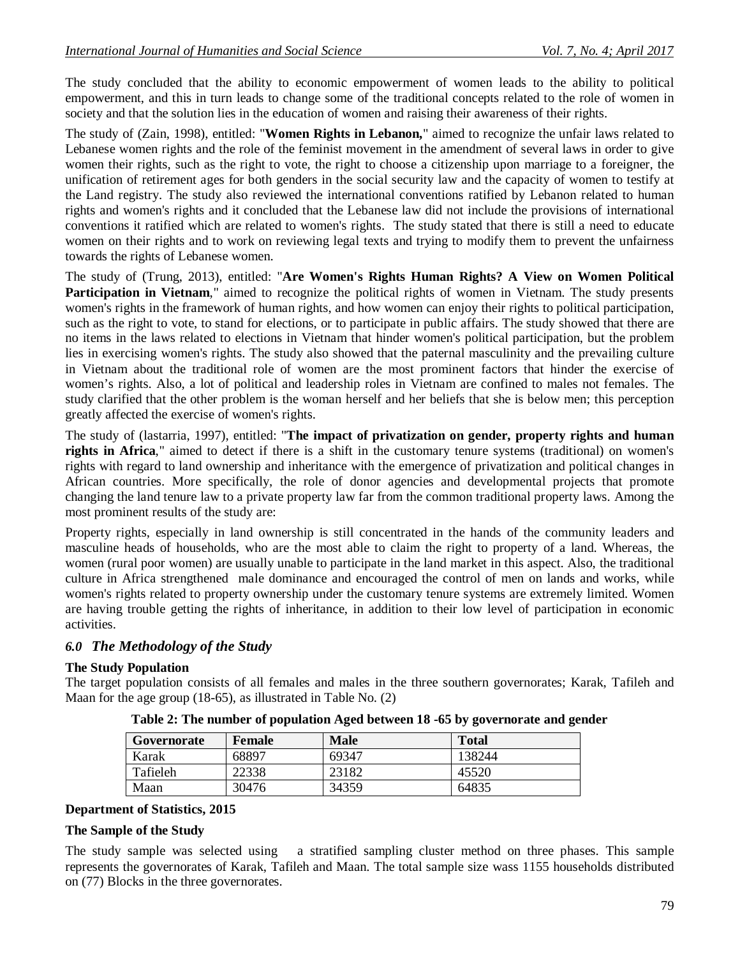The study concluded that the ability to economic empowerment of women leads to the ability to political empowerment, and this in turn leads to change some of the traditional concepts related to the role of women in society and that the solution lies in the education of women and raising their awareness of their rights.

The study of (Zain, 1998), entitled: "**Women Rights in Lebanon,**" aimed to recognize the unfair laws related to Lebanese women rights and the role of the feminist movement in the amendment of several laws in order to give women their rights, such as the right to vote, the right to choose a citizenship upon marriage to a foreigner, the unification of retirement ages for both genders in the social security law and the capacity of women to testify at the Land registry. The study also reviewed the international conventions ratified by Lebanon related to human rights and women's rights and it concluded that the Lebanese law did not include the provisions of international conventions it ratified which are related to women's rights. The study stated that there is still a need to educate women on their rights and to work on reviewing legal texts and trying to modify them to prevent the unfairness towards the rights of Lebanese women.

The study of (Trung, 2013), entitled: "**Are Women's Rights Human Rights? A View on Women Political Participation in Vietnam**," aimed to recognize the political rights of women in Vietnam. The study presents women's rights in the framework of human rights, and how women can enjoy their rights to political participation, such as the right to vote, to stand for elections, or to participate in public affairs. The study showed that there are no items in the laws related to elections in Vietnam that hinder women's political participation, but the problem lies in exercising women's rights. The study also showed that the paternal masculinity and the prevailing culture in Vietnam about the traditional role of women are the most prominent factors that hinder the exercise of women's rights. Also, a lot of political and leadership roles in Vietnam are confined to males not females. The study clarified that the other problem is the woman herself and her beliefs that she is below men; this perception greatly affected the exercise of women's rights.

The study of (lastarria, 1997), entitled: "**The impact of privatization on gender, property rights and human rights in Africa**," aimed to detect if there is a shift in the customary tenure systems (traditional) on women's rights with regard to land ownership and inheritance with the emergence of privatization and political changes in African countries. More specifically, the role of donor agencies and developmental projects that promote changing the land tenure law to a private property law far from the common traditional property laws. Among the most prominent results of the study are:

Property rights, especially in land ownership is still concentrated in the hands of the community leaders and masculine heads of households, who are the most able to claim the right to property of a land. Whereas, the women (rural poor women) are usually unable to participate in the land market in this aspect. Also, the traditional culture in Africa strengthened male dominance and encouraged the control of men on lands and works, while women's rights related to property ownership under the customary tenure systems are extremely limited. Women are having trouble getting the rights of inheritance, in addition to their low level of participation in economic activities.

## *6.0 The Methodology of the Study*

### **The Study Population**

The target population consists of all females and males in the three southern governorates; Karak, Tafileh and Maan for the age group (18-65), as illustrated in Table No. (2)

| Governorate | <b>Female</b> | <b>Male</b> | <b>Total</b> |
|-------------|---------------|-------------|--------------|
| Karak       | 68897         | 69347       | 138244       |
| Tafieleh    | 22338         | 23182       | 45520        |
| Maan        | 30476         | 34359       | 64835        |

**Table 2: The number of population Aged between 18 -65 by governorate and gender**

#### **Department of Statistics, 2015**

#### **The Sample of the Study**

The study sample was selected using a stratified sampling cluster method on three phases. This sample represents the governorates of Karak, Tafileh and Maan. The total sample size wass 1155 households distributed on (77) Blocks in the three governorates.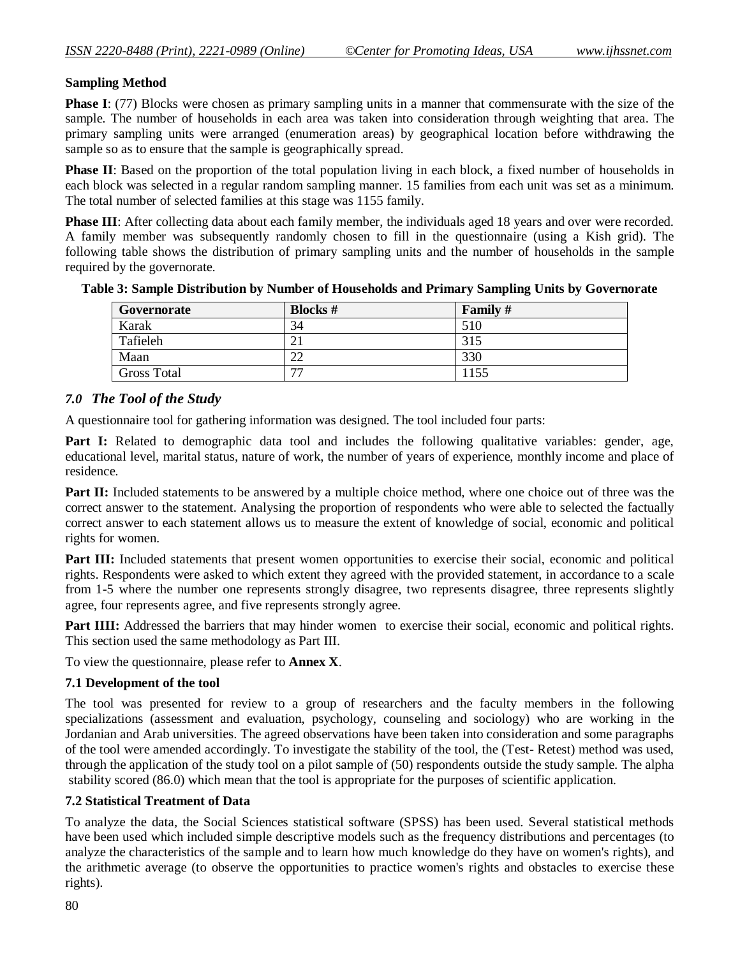### **Sampling Method**

**Phase I**: (77) Blocks were chosen as primary sampling units in a manner that commensurate with the size of the sample. The number of households in each area was taken into consideration through weighting that area. The primary sampling units were arranged (enumeration areas) by geographical location before withdrawing the sample so as to ensure that the sample is geographically spread.

**Phase II**: Based on the proportion of the total population living in each block, a fixed number of households in each block was selected in a regular random sampling manner. 15 families from each unit was set as a minimum. The total number of selected families at this stage was 1155 family.

**Phase III**: After collecting data about each family member, the individuals aged 18 years and over were recorded. A family member was subsequently randomly chosen to fill in the questionnaire (using a Kish grid). The following table shows the distribution of primary sampling units and the number of households in the sample required by the governorate.

| Governorate        | <b>Blocks</b> #          | Family # |
|--------------------|--------------------------|----------|
| Karak              | 34                       | 510      |
| Tafieleh           |                          | 315      |
| Maan               | $\cap$<br>∠∠             | 330      |
| <b>Gross Total</b> | $\overline{\phantom{a}}$ | 1155     |

**Table 3: Sample Distribution by Number of Households and Primary Sampling Units by Governorate**

### *7.0 The Tool of the Study*

A questionnaire tool for gathering information was designed. The tool included four parts:

**Part I:** Related to demographic data tool and includes the following qualitative variables: gender, age, educational level, marital status, nature of work, the number of years of experience, monthly income and place of residence.

Part II: Included statements to be answered by a multiple choice method, where one choice out of three was the correct answer to the statement. Analysing the proportion of respondents who were able to selected the factually correct answer to each statement allows us to measure the extent of knowledge of social, economic and political rights for women.

Part III: Included statements that present women opportunities to exercise their social, economic and political rights. Respondents were asked to which extent they agreed with the provided statement, in accordance to a scale from 1-5 where the number one represents strongly disagree, two represents disagree, three represents slightly agree, four represents agree, and five represents strongly agree.

Part IIII: Addressed the barriers that may hinder women to exercise their social, economic and political rights. This section used the same methodology as Part III.

To view the questionnaire, please refer to **Annex X**.

### **7.1 Development of the tool**

The tool was presented for review to a group of researchers and the faculty members in the following specializations (assessment and evaluation, psychology, counseling and sociology) who are working in the Jordanian and Arab universities. The agreed observations have been taken into consideration and some paragraphs of the tool were amended accordingly. To investigate the stability of the tool, the (Test- Retest) method was used, through the application of the study tool on a pilot sample of (50) respondents outside the study sample. The alpha stability scored (86.0) which mean that the tool is appropriate for the purposes of scientific application.

### **7.2 Statistical Treatment of Data**

To analyze the data, the Social Sciences statistical software (SPSS) has been used. Several statistical methods have been used which included simple descriptive models such as the frequency distributions and percentages (to analyze the characteristics of the sample and to learn how much knowledge do they have on women's rights), and the arithmetic average (to observe the opportunities to practice women's rights and obstacles to exercise these rights).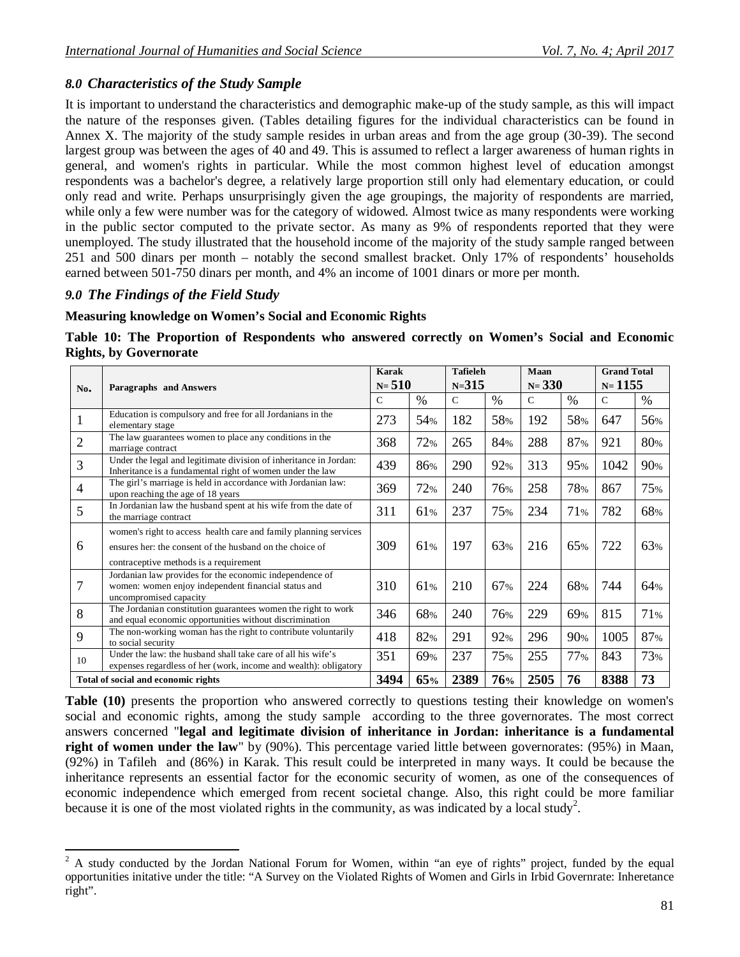## *8.0 Characteristics of the Study Sample*

It is important to understand the characteristics and demographic make-up of the study sample, as this will impact the nature of the responses given. (Tables detailing figures for the individual characteristics can be found in Annex X. The majority of the study sample resides in urban areas and from the age group (30-39). The second largest group was between the ages of 40 and 49. This is assumed to reflect a larger awareness of human rights in general, and women's rights in particular. While the most common highest level of education amongst respondents was a bachelor's degree, a relatively large proportion still only had elementary education, or could only read and write. Perhaps unsurprisingly given the age groupings, the majority of respondents are married, while only a few were number was for the category of widowed. Almost twice as many respondents were working in the public sector computed to the private sector. As many as 9% of respondents reported that they were unemployed. The study illustrated that the household income of the majority of the study sample ranged between 251 and 500 dinars per month – notably the second smallest bracket. Only 17% of respondents' households earned between 501-750 dinars per month, and 4% an income of 1001 dinars or more per month.

## *9.0 The Findings of the Field Study*

### **Measuring knowledge on Women's Social and Economic Rights**

|  |                               | Table 10: The Proportion of Respondents who answered correctly on Women's Social and Economic |  |  |  |  |
|--|-------------------------------|-----------------------------------------------------------------------------------------------|--|--|--|--|
|  | <b>Rights, by Governorate</b> |                                                                                               |  |  |  |  |

| No.            | Paragraphs and Answers                                                                                                                                                 | Karak<br>$N = 510$ |      | <b>Tafieleh</b><br>$N = 315$ |      | Maan<br>$N = 330$ |      | <b>Grand Total</b><br>$N = 1155$ |      |
|----------------|------------------------------------------------------------------------------------------------------------------------------------------------------------------------|--------------------|------|------------------------------|------|-------------------|------|----------------------------------|------|
|                |                                                                                                                                                                        | $\mathcal{C}$      | $\%$ | $\mathcal{C}$                | $\%$ | $\mathsf{C}$      | $\%$ | $\mathcal{C}$                    | $\%$ |
| $\mathbf{1}$   | Education is compulsory and free for all Jordanians in the<br>elementary stage                                                                                         | 273                | 54%  | 182                          | 58%  | 192               | 58%  | 647                              | 56%  |
| $\overline{2}$ | The law guarantees women to place any conditions in the<br>marriage contract                                                                                           | 368                | 72%  | 265                          | 84%  | 288               | 87%  | 921                              | 80%  |
| 3              | Under the legal and legitimate division of inheritance in Jordan:<br>Inheritance is a fundamental right of women under the law                                         | 439                | 86%  | 290                          | 92%  | 313               | 95%  | 1042                             | 90%  |
| $\overline{4}$ | The girl's marriage is held in accordance with Jordanian law:<br>upon reaching the age of 18 years                                                                     | 369                | 72%  | 240                          | 76%  | 258               | 78%  | 867                              | 75%  |
| 5              | In Jordanian law the husband spent at his wife from the date of<br>the marriage contract                                                                               | 311                | 61%  | 237                          | 75%  | 234               | 71%  | 782                              | 68%  |
| 6              | women's right to access health care and family planning services<br>ensures her: the consent of the husband on the choice of<br>contraceptive methods is a requirement |                    | 61%  | 197                          | 63%  | 216               | 65%  | 722                              | 63%  |
| $\overline{7}$ | Jordanian law provides for the economic independence of<br>women: women enjoy independent financial status and<br>uncompromised capacity                               | 310                | 61%  | 210                          | 67%  | 224               | 68%  | 744                              | 64%  |
| 8              | The Jordanian constitution guarantees women the right to work<br>and equal economic opportunities without discrimination                                               | 346                | 68%  | 240                          | 76%  | 229               | 69%  | 815                              | 71%  |
| 9              | The non-working woman has the right to contribute voluntarily<br>to social security                                                                                    |                    | 82%  | 291                          | 92%  | 296               | 90%  | 1005                             | 87%  |
| 10             | Under the law: the husband shall take care of all his wife's<br>expenses regardless of her (work, income and wealth): obligatory                                       |                    | 69%  | 237                          | 75%  | 255               | 77%  | 843                              | 73%  |
|                | Total of social and economic rights                                                                                                                                    | 3494               | 65%  | 2389                         | 76%  | 2505              | 76   | 8388                             | 73   |

**Table (10)** presents the proportion who answered correctly to questions testing their knowledge on women's social and economic rights, among the study sample according to the three governorates. The most correct answers concerned "**legal and legitimate division of inheritance in Jordan: inheritance is a fundamental right of women under the law**" by (90%). This percentage varied little between governorates: (95%) in Maan, (92%) in Tafileh and (86%) in Karak. This result could be interpreted in many ways. It could be because the inheritance represents an essential factor for the economic security of women, as one of the consequences of economic independence which emerged from recent societal change. Also, this right could be more familiar because it is one of the most violated rights in the community, as was indicated by a local study<sup>2</sup>.

 $\overline{\phantom{a}}$  $2^2$  A study conducted by the Jordan National Forum for Women, within "an eye of rights" project, funded by the equal opportunities initative under the title: "A Survey on the Violated Rights of Women and Girls in Irbid Governrate: Inheretance right".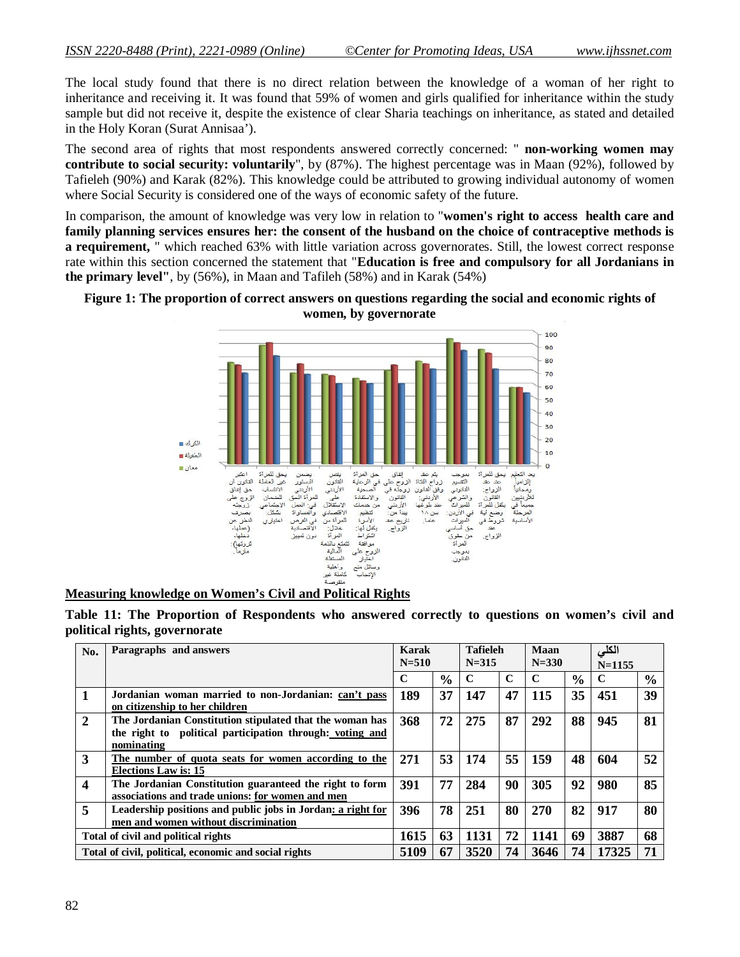The local study found that there is no direct relation between the knowledge of a woman of her right to inheritance and receiving it. It was found that 59% of women and girls qualified for inheritance within the study sample but did not receive it, despite the existence of clear Sharia teachings on inheritance, as stated and detailed in the Holy Koran (Surat Annisaa').

The second area of rights that most respondents answered correctly concerned: " **non-working women may contribute to social security: voluntarily**", by (87%). The highest percentage was in Maan (92%), followed by Tafieleh (90%) and Karak (82%). This knowledge could be attributed to growing individual autonomy of women where Social Security is considered one of the ways of economic safety of the future.

In comparison, the amount of knowledge was very low in relation to "**women's right to access health care and family planning services ensures her: the consent of the husband on the choice of contraceptive methods is a requirement,** " which reached 63% with little variation across governorates. Still, the lowest correct response rate within this section concerned the statement that "**Education is free and compulsory for all Jordanians in the primary level"**, by (56%), in Maan and Tafileh (58%) and in Karak (54%)





**Measuring knowledge on Women's Civil and Political Rights**

| No.                     | Paragraphs and answers                                                                                                             | Karak<br>$N = 510$ |               | <b>Tafieleh</b><br>$N = 315$ |             | Maan<br>$N = 330$ |               | الكلى<br>$N = 1155$ |               |
|-------------------------|------------------------------------------------------------------------------------------------------------------------------------|--------------------|---------------|------------------------------|-------------|-------------------|---------------|---------------------|---------------|
|                         |                                                                                                                                    | C                  | $\frac{6}{6}$ | C                            | $\mathbf C$ | C                 | $\frac{6}{9}$ | C                   | $\frac{0}{0}$ |
| 1                       | Jordanian woman married to non-Jordanian: can't pass<br>on citizenship to her children                                             | 189                | 37            | 147                          | 47          | 115               | 35            | 451                 | 39            |
| $\mathbf{2}$            | The Jordanian Constitution stipulated that the woman has<br>the right to political participation through: voting and<br>nominating | 368                | 72            | 275                          | 87          | 292               | 88            | 945                 | 81            |
| 3                       | The number of quota seats for women according to the<br><b>Elections Law is: 15</b>                                                | 271                | 53            | 174                          | 55          | 159               | 48            | 604                 | 52            |
| $\overline{\mathbf{4}}$ | The Jordanian Constitution guaranteed the right to form<br>associations and trade unions: for women and men                        | 391                | 77            | 284                          | 90          | 305               | 92            | 980                 | 85            |
| 5                       | Leadership positions and public jobs in Jordan: a right for<br>men and women without discrimination                                | 396                | 78            | 251                          | 80          | <b>270</b>        | 82            | 917                 | 80            |
|                         | Total of civil and political rights                                                                                                | 1615               | 63            | 1131                         | 72          | 1141              | 69            | 3887                | 68            |
|                         | Total of civil, political, economic and social rights                                                                              | 5109               | 67            | 3520                         | 74          | 3646              | 74            | 17325               | 71            |

**Table 11: The Proportion of Respondents who answered correctly to questions on women's civil and political rights, governorate**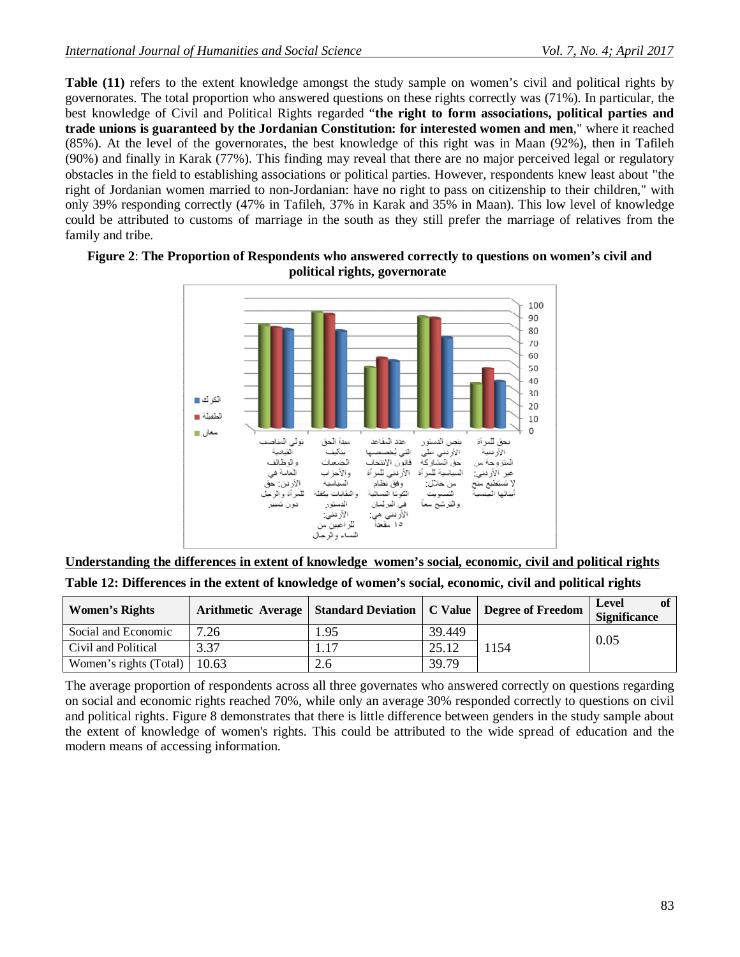**Table (11)** refers to the extent knowledge amongst the study sample on women's civil and political rights by governorates. The total proportion who answered questions on these rights correctly was (71%). In particular, the best knowledge of Civil and Political Rights regarded "**the right to form associations, political parties and trade unions is guaranteed by the Jordanian Constitution: for interested women and men**," where it reached (85%). At the level of the governorates, the best knowledge of this right was in Maan (92%), then in Tafileh (90%) and finally in Karak (77%). This finding may reveal that there are no major perceived legal or regulatory obstacles in the field to establishing associations or political parties. However, respondents knew least about "the right of Jordanian women married to non-Jordanian: have no right to pass on citizenship to their children," with only 39% responding correctly (47% in Tafileh, 37% in Karak and 35% in Maan). This low level of knowledge could be attributed to customs of marriage in the south as they still prefer the marriage of relatives from the family and tribe.



### **Figure 2**: **The Proportion of Respondents who answered correctly to questions on women's civil and political rights, governorate**

|                      |  |                |  | Understanding the differences in extent of knowledge women's social, economic, civil and political rights |  |
|----------------------|--|----------------|--|-----------------------------------------------------------------------------------------------------------|--|
| <b>TRII 48 TAIRE</b> |  | $\blacksquare$ |  | .                                                                                                         |  |

| Table 12: Differences in the extent of knowledge of women's social, economic, civil and political rights |  |  |  |
|----------------------------------------------------------------------------------------------------------|--|--|--|
|----------------------------------------------------------------------------------------------------------|--|--|--|

| <b>Women's Rights</b>  | Arithmetic Average   Standard Deviation   C Value   Degree of Freedom |     |        |      | of<br>Level<br><b>Significance</b> |
|------------------------|-----------------------------------------------------------------------|-----|--------|------|------------------------------------|
| Social and Economic    | 7.26                                                                  | .95 | 39.449 |      |                                    |
| Civil and Political    | 3.37                                                                  |     | 25.12  | 1154 | 0.05                               |
| Women's rights (Total) | 10.63                                                                 | 2.6 | 39.79  |      |                                    |

The average proportion of respondents across all three governates who answered correctly on questions regarding on social and economic rights reached 70%, while only an average 30% responded correctly to questions on civil and political rights. Figure 8 demonstrates that there is little difference between genders in the study sample about the extent of knowledge of women's rights. This could be attributed to the wide spread of education and the modern means of accessing information.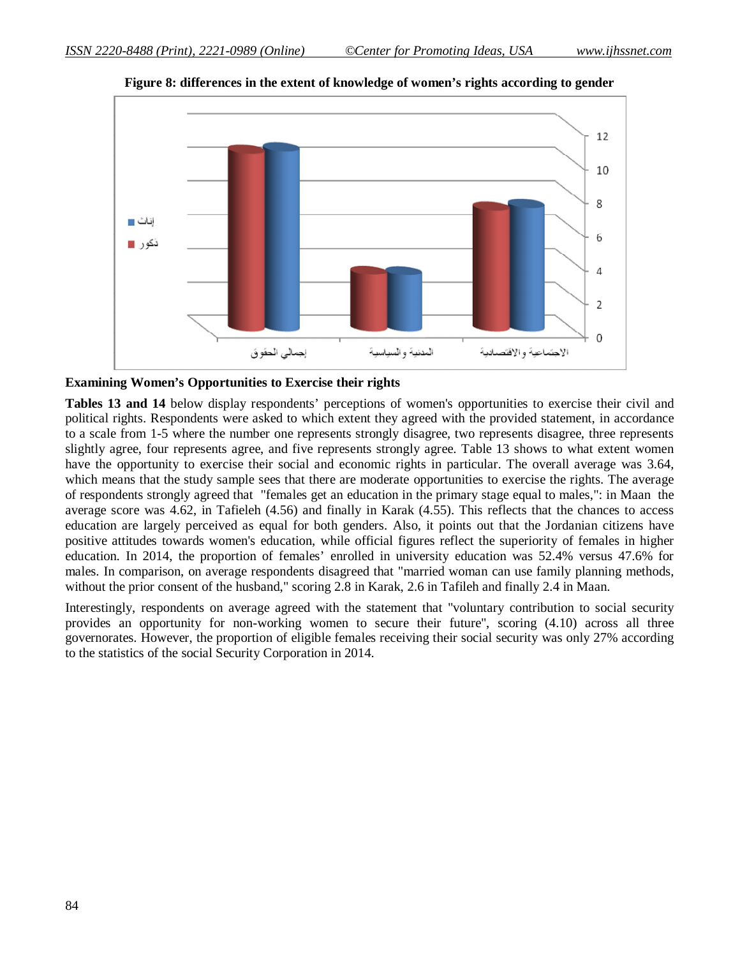

**Figure 8: differences in the extent of knowledge of women's rights according to gender**

#### **Examining Women's Opportunities to Exercise their rights**

**Tables 13 and 14** below display respondents' perceptions of women's opportunities to exercise their civil and political rights. Respondents were asked to which extent they agreed with the provided statement, in accordance to a scale from 1-5 where the number one represents strongly disagree, two represents disagree, three represents slightly agree, four represents agree, and five represents strongly agree. Table 13 shows to what extent women have the opportunity to exercise their social and economic rights in particular. The overall average was 3.64, which means that the study sample sees that there are moderate opportunities to exercise the rights. The average of respondents strongly agreed that "females get an education in the primary stage equal to males,": in Maan the average score was 4.62, in Tafieleh (4.56) and finally in Karak (4.55). This reflects that the chances to access education are largely perceived as equal for both genders. Also, it points out that the Jordanian citizens have positive attitudes towards women's education, while official figures reflect the superiority of females in higher education. In 2014, the proportion of females' enrolled in university education was 52.4% versus 47.6% for males. In comparison, on average respondents disagreed that "married woman can use family planning methods, without the prior consent of the husband," scoring 2.8 in Karak, 2.6 in Tafileh and finally 2.4 in Maan.

Interestingly, respondents on average agreed with the statement that "voluntary contribution to social security provides an opportunity for non-working women to secure their future", scoring (4.10) across all three governorates. However, the proportion of eligible females receiving their social security was only 27% according to the statistics of the social Security Corporation in 2014.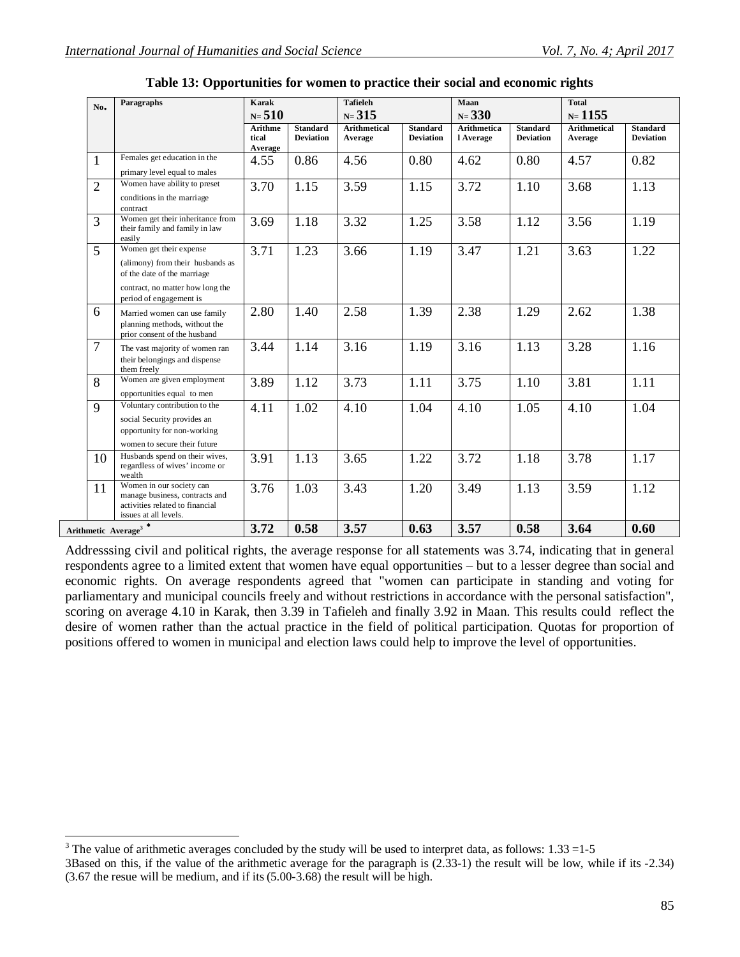| Paragraphs<br>No. |                                                                                                                                                           | <b>Karak</b><br>$N = 510$   |                                     | <b>Tafieleh</b><br>$N = 315$   |                                     | Maan<br>$N = 330$               |                                     | <b>Total</b><br>$N = 1155$     |                                     |  |
|-------------------|-----------------------------------------------------------------------------------------------------------------------------------------------------------|-----------------------------|-------------------------------------|--------------------------------|-------------------------------------|---------------------------------|-------------------------------------|--------------------------------|-------------------------------------|--|
|                   |                                                                                                                                                           | Arithme<br>tical<br>Average | <b>Standard</b><br><b>Deviation</b> | <b>Arithmetical</b><br>Average | <b>Standard</b><br><b>Deviation</b> | <b>Arithmetica</b><br>l Average | <b>Standard</b><br><b>Deviation</b> | <b>Arithmetical</b><br>Average | <b>Standard</b><br><b>Deviation</b> |  |
| 1                 | Females get education in the<br>primary level equal to males                                                                                              | 4.55                        | 0.86                                | 4.56                           | 0.80                                | 4.62                            | 0.80                                | 4.57                           | 0.82                                |  |
| $\overline{2}$    | Women have ability to preset<br>conditions in the marriage<br>contract                                                                                    | 3.70                        | 1.15                                | 3.59                           | 1.15                                | 3.72                            | 1.10                                | 3.68                           | 1.13                                |  |
| 3                 | Women get their inheritance from<br>their family and family in law<br>easily                                                                              | 3.69                        | 1.18                                | 3.32                           | 1.25                                | 3.58                            | 1.12                                | 3.56                           | 1.19                                |  |
| $\overline{5}$    | Women get their expense<br>(alimony) from their husbands as<br>of the date of the marriage<br>contract, no matter how long the<br>period of engagement is | 3.71                        | 1.23                                | 3.66                           | 1.19                                | 3.47                            | 1.21                                | 3.63                           | 1.22                                |  |
| 6                 | Married women can use family<br>planning methods, without the<br>prior consent of the husband                                                             | 2.80                        | 1.40                                | 2.58                           | 1.39                                | 2.38                            | 1.29                                | 2.62                           | 1.38                                |  |
| $\overline{7}$    | The vast majority of women ran<br>their belongings and dispense<br>them freely                                                                            | 3.44                        | 1.14                                | 3.16                           | 1.19                                | 3.16                            | 1.13                                | 3.28                           | 1.16                                |  |
| 8                 | Women are given employment<br>opportunities equal to men                                                                                                  | 3.89                        | 1.12                                | 3.73                           | 1.11                                | 3.75                            | 1.10                                | 3.81                           | 1.11                                |  |
| 9                 | Voluntary contribution to the<br>social Security provides an<br>opportunity for non-working<br>women to secure their future                               | 4.11                        | 1.02                                | 4.10                           | 1.04                                | 4.10                            | 1.05                                | 4.10                           | 1.04                                |  |
| 10                | Husbands spend on their wives,<br>regardless of wives' income or<br>wealth                                                                                | 3.91                        | 1.13                                | 3.65                           | 1.22                                | 3.72                            | 1.18                                | 3.78                           | 1.17                                |  |
| 11                | Women in our society can<br>manage business, contracts and<br>activities related to financial<br>issues at all levels.                                    | 3.76                        | 1.03                                | 3.43                           | 1.20                                | 3.49                            | 1.13                                | 3.59                           | 1.12                                |  |
|                   | Arithmetic Average <sup>3</sup> <sup>*</sup>                                                                                                              | 3.72                        | 0.58                                | 3.57                           | 0.63                                | 3.57                            | 0.58                                | 3.64                           | 0.60                                |  |

| Table 13: Opportunities for women to practice their social and economic rights |  |  |  |  |
|--------------------------------------------------------------------------------|--|--|--|--|
|                                                                                |  |  |  |  |

Addresssing civil and political rights, the average response for all statements was 3.74, indicating that in general respondents agree to a limited extent that women have equal opportunities – but to a lesser degree than social and economic rights. On average respondents agreed that "women can participate in standing and voting for parliamentary and municipal councils freely and without restrictions in accordance with the personal satisfaction", scoring on average 4.10 in Karak, then 3.39 in Tafieleh and finally 3.92 in Maan. This results could reflect the desire of women rather than the actual practice in the field of political participation. Quotas for proportion of positions offered to women in municipal and election laws could help to improve the level of opportunities.

 $\overline{\phantom{a}}$ <sup>3</sup> The value of arithmetic averages concluded by the study will be used to interpret data, as follows:  $1.33 = 1-5$ 

<sup>3</sup>Based on this, if the value of the arithmetic average for the paragraph is (2.33 -1) the result will be low, while if its -2.34) (3.67 the resue will be medium, and if its (5.00-3.68) the result will be high.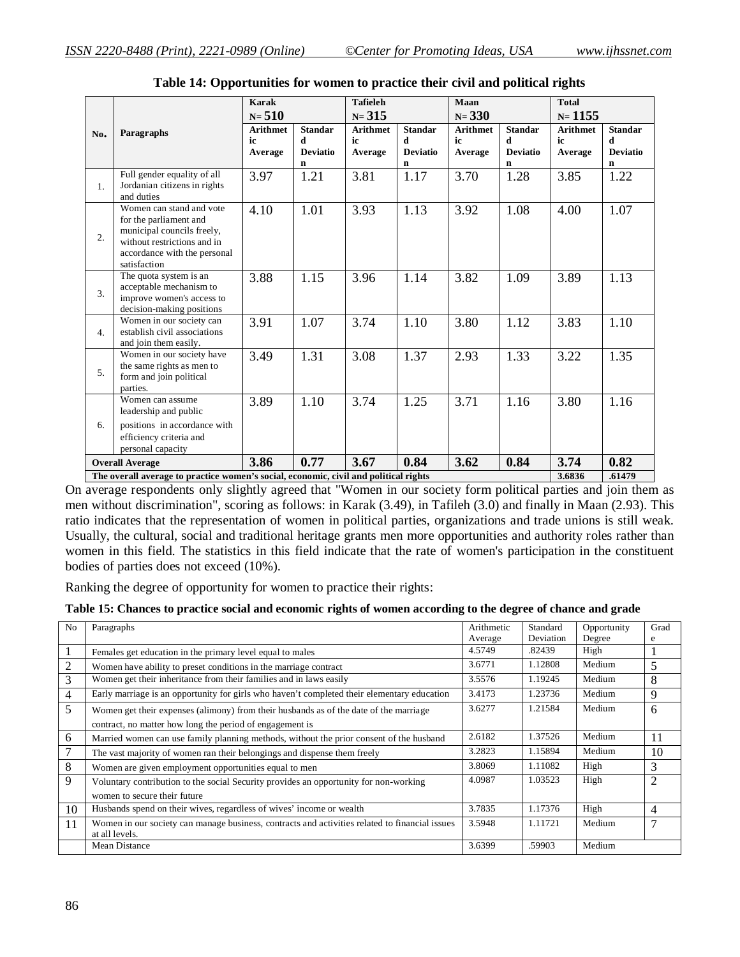|                  |                                                                                                                                                                 | <b>Karak</b><br>$N = 510$        |                                                       | <b>Tafieleh</b><br>$N = 315$     |                                                       | Maan<br>$N = 330$                |                                             | <b>Total</b><br>$N = 1155$       |                                             |
|------------------|-----------------------------------------------------------------------------------------------------------------------------------------------------------------|----------------------------------|-------------------------------------------------------|----------------------------------|-------------------------------------------------------|----------------------------------|---------------------------------------------|----------------------------------|---------------------------------------------|
| No.              | Paragraphs                                                                                                                                                      | <b>Arithmet</b><br>ic<br>Average | <b>Standar</b><br>d<br><b>Deviatio</b><br>$\mathbf n$ | <b>Arithmet</b><br>ic<br>Average | <b>Standar</b><br>$\mathbf d$<br><b>Deviatio</b><br>n | <b>Arithmet</b><br>ic<br>Average | <b>Standar</b><br>d<br><b>Deviatio</b><br>n | <b>Arithmet</b><br>ic<br>Average | <b>Standar</b><br>d<br><b>Deviatio</b><br>n |
| $\mathbf{1}$ .   | Full gender equality of all<br>Jordanian citizens in rights<br>and duties                                                                                       | 3.97                             | 1.21                                                  | 3.81                             | 1.17                                                  | 3.70                             | 1.28                                        | 3.85                             | 1.22                                        |
| $\overline{2}$ . | Women can stand and vote<br>for the parliament and<br>municipal councils freely,<br>without restrictions and in<br>accordance with the personal<br>satisfaction | 4.10                             | 1.01                                                  | 3.93                             | 1.13                                                  | 3.92                             | 1.08                                        | 4.00                             | 1.07                                        |
| 3.               | The quota system is an<br>acceptable mechanism to<br>improve women's access to<br>decision-making positions                                                     | 3.88                             | 1.15                                                  | 3.96                             | 1.14                                                  | 3.82                             | 1.09                                        | 3.89                             | 1.13                                        |
| 4.               | Women in our society can<br>establish civil associations<br>and join them easily.                                                                               | 3.91                             | 1.07                                                  | 3.74                             | 1.10                                                  | 3.80                             | 1.12                                        | 3.83                             | 1.10                                        |
| 5 <sub>1</sub>   | Women in our society have<br>the same rights as men to<br>form and join political<br>parties.                                                                   | 3.49                             | 1.31                                                  | 3.08                             | 1.37                                                  | 2.93                             | 1.33                                        | 3.22                             | 1.35                                        |
| 6.               | Women can assume<br>leadership and public<br>positions in accordance with<br>efficiency criteria and<br>personal capacity                                       | 3.89                             | 1.10                                                  | 3.74                             | 1.25                                                  | 3.71                             | 1.16                                        | 3.80                             | 1.16                                        |
|                  | <b>Overall Average</b>                                                                                                                                          | 3.86                             | 0.77                                                  | 3.67                             | 0.84                                                  | 3.62                             | 0.84                                        | 3.74                             | 0.82                                        |
|                  | The overall average to practice women's social, economic, civil and political rights                                                                            |                                  |                                                       |                                  |                                                       |                                  |                                             | 3.6836                           | .61479                                      |

| Table 14: Opportunities for women to practice their civil and political rights |  |  |  |
|--------------------------------------------------------------------------------|--|--|--|
|--------------------------------------------------------------------------------|--|--|--|

On average respondents only slightly agreed that "Women in our society form political parties and join them as men without discrimination", scoring as follows: in Karak (3.49), in Tafileh (3.0) and finally in Maan (2.93). This ratio indicates that the representation of women in political parties, organizations and trade unions is still weak. Usually, the cultural, social and traditional heritage grants men more opportunities and authority roles rather than women in this field. The statistics in this field indicate that the rate of women's participation in the constituent bodies of parties does not exceed (10%).

Ranking the degree of opportunity for women to practice their rights:

|  |  | Table 15: Chances to practice social and economic rights of women according to the degree of chance and grade |
|--|--|---------------------------------------------------------------------------------------------------------------|
|  |  |                                                                                                               |

| N <sub>0</sub> | Paragraphs                                                                                     | Arithmetic | Standard  | Opportunity | Grad           |
|----------------|------------------------------------------------------------------------------------------------|------------|-----------|-------------|----------------|
|                |                                                                                                | Average    | Deviation | Degree      | e              |
| 1              | Females get education in the primary level equal to males                                      | 4.5749     | .82439    | High        |                |
| $\overline{2}$ | Women have ability to preset conditions in the marriage contract                               | 3.6771     | 1.12808   | Medium      | 5              |
| 3              | Women get their inheritance from their families and in laws easily                             | 3.5576     | 1.19245   | Medium      | 8              |
| 4              | Early marriage is an opportunity for girls who haven't completed their elementary education    | 3.4173     | 1.23736   | Medium      | 9              |
| 5              | Women get their expenses (alimony) from their husbands as of the date of the marriage          | 3.6277     | 1.21584   | Medium      | 6              |
|                | contract, no matter how long the period of engagement is                                       |            |           |             |                |
| 6              | Married women can use family planning methods, without the prior consent of the husband        | 2.6182     | 1.37526   | Medium      | 11             |
| 7              | The vast majority of women ran their belongings and dispense them freely                       | 3.2823     | 1.15894   | Medium      | 10             |
| 8              | Women are given employment opportunities equal to men                                          | 3.8069     | 1.11082   | High        | 3              |
| 9              | Voluntary contribution to the social Security provides an opportunity for non-working          | 4.0987     | 1.03523   | High        | $\overline{2}$ |
|                | women to secure their future                                                                   |            |           |             |                |
| 10             | Husbands spend on their wives, regardless of wives' income or wealth                           | 3.7835     | 1.17376   | High        | $\overline{4}$ |
| 11             | Women in our society can manage business, contracts and activities related to financial issues | 3.5948     | 1.11721   | Medium      | 7              |
|                | at all levels.                                                                                 |            |           |             |                |
|                | Mean Distance                                                                                  | 3.6399     | .59903    | Medium      |                |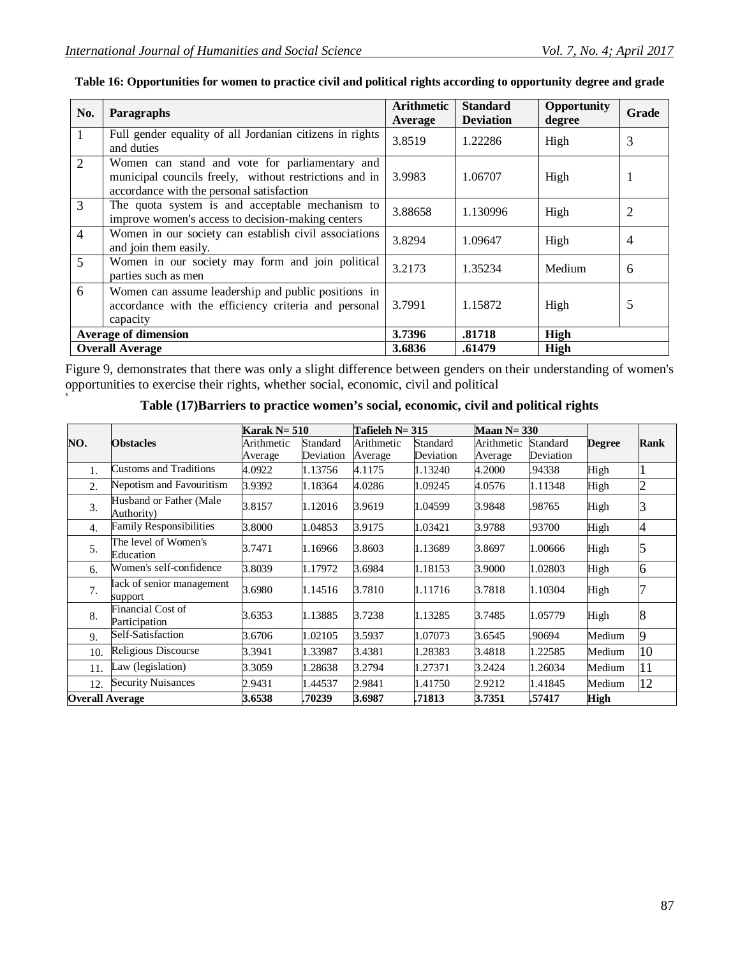**3**

| No.             | Paragraphs                                                                                                                                            | Arithmetic<br>Average | <b>Standard</b><br><b>Deviation</b> | Opportunity<br>degree | Grade          |
|-----------------|-------------------------------------------------------------------------------------------------------------------------------------------------------|-----------------------|-------------------------------------|-----------------------|----------------|
| $\mathbf{1}$    | Full gender equality of all Jordanian citizens in rights<br>and duties                                                                                | 3.8519                | 1.22286                             | High                  | 3              |
| 2               | Women can stand and vote for parliamentary and<br>municipal councils freely, without restrictions and in<br>accordance with the personal satisfaction | 3.9983                | 1.06707                             | High                  | 1              |
| 3               | The quota system is and acceptable mechanism to<br>improve women's access to decision-making centers                                                  | 3.88658               | 1.130996                            | High                  | 2              |
| $\overline{4}$  | Women in our society can establish civil associations<br>and join them easily.                                                                        | 3.8294                | 1.09647                             | High                  | $\overline{4}$ |
| $5\overline{)}$ | Women in our society may form and join political<br>parties such as men                                                                               | 3.2173                | 1.35234                             | Medium                | 6              |
| 6               | Women can assume leadership and public positions in<br>accordance with the efficiency criteria and personal<br>capacity                               | 3.7991                | 1.15872                             | High                  | 5              |
|                 | <b>Average of dimension</b>                                                                                                                           |                       | .81718                              | High                  |                |
|                 | <b>Overall Average</b>                                                                                                                                | 3.6836                | .61479                              | High                  |                |

## **Table 16: Opportunities for women to practice civil and political rights according to opportunity degree and grade**

Figure 9, demonstrates that there was only a slight difference between genders on their understanding of women's opportunities to exercise their rights, whether social, economic, civil and political

| Table (17) Barriers to practice women's social, economic, civil and political rights |  |  |
|--------------------------------------------------------------------------------------|--|--|
|                                                                                      |  |  |

|                        | <b>Obstacles</b>                          | Karak $N = 510$       |                       | Tafieleh $N=315$      |                       | Maan $N = 330$        |                       |               |                |
|------------------------|-------------------------------------------|-----------------------|-----------------------|-----------------------|-----------------------|-----------------------|-----------------------|---------------|----------------|
| NO.                    |                                           | Arithmetic<br>Average | Standard<br>Deviation | Arithmetic<br>Average | Standard<br>Deviation | Arithmetic<br>Average | Standard<br>Deviation | <b>Degree</b> | <b>Rank</b>    |
| 1.                     | Customs and Traditions                    | 4.0922                | 1.13756               | 4.1175                | 1.13240               | 4.2000                | .94338                | High          |                |
| 2.                     | Nepotism and Favouritism                  | 3.9392                | 1.18364               | 4.0286                | 1.09245               | 4.0576                | 1.11348               | High          | $\overline{c}$ |
| 3.                     | Husband or Father (Male<br>Authority)     | 3.8157                | 1.12016               | 3.9619                | 1.04599               | 3.9848                | .98765                | High          | R              |
| $\overline{4}$ .       | <b>Family Responsibilities</b>            | 3.8000                | 1.04853               | 3.9175                | 1.03421               | 3.9788                | .93700                | High          | 4              |
| 5.                     | The level of Women's<br>Education         | 3.7471                | 1.16966               | 3.8603                | 1.13689               | 3.8697                | 1.00666               | High          | 5              |
| 6.                     | Women's self-confidence                   | 3.8039                | 1.17972               | 3.6984                | 1.18153               | 3.9000                | 1.02803               | High          | 6              |
| 7 <sub>1</sub>         | lack of senior management<br>support      | 3.6980                | 1.14516               | 3.7810                | 1.11716               | 3.7818                | 1.10304               | High          |                |
| 8.                     | <b>Financial Cost of</b><br>Participation | 3.6353                | 1.13885               | 3.7238                | 1.13285               | 3.7485                | 1.05779               | High          | 8              |
| 9.                     | Self-Satisfaction                         | 3.6706                | 1.02105               | 3.5937                | 1.07073               | 3.6545                | .90694                | Medium        | 9              |
| 10.                    | Religious Discourse                       | 3.3941                | 1.33987               | 3.4381                | 1.28383               | 3.4818                | 1.22585               | Medium        | 10             |
| 11.                    | Law (legislation)                         | 3.3059                | 1.28638               | 3.2794                | 1.27371               | 3.2424                | 1.26034               | Medium        | 11             |
| 12.                    | <b>Security Nuisances</b>                 | 2.9431                | 1.44537               | 2.9841                | 1.41750               | 2.9212                | 1.41845               | Medium        | 12             |
| <b>Overall Average</b> |                                           | 3.6538                | .70239                | 3.6987                | .71813                | 3.7351                | .57417                | <b>High</b>   |                |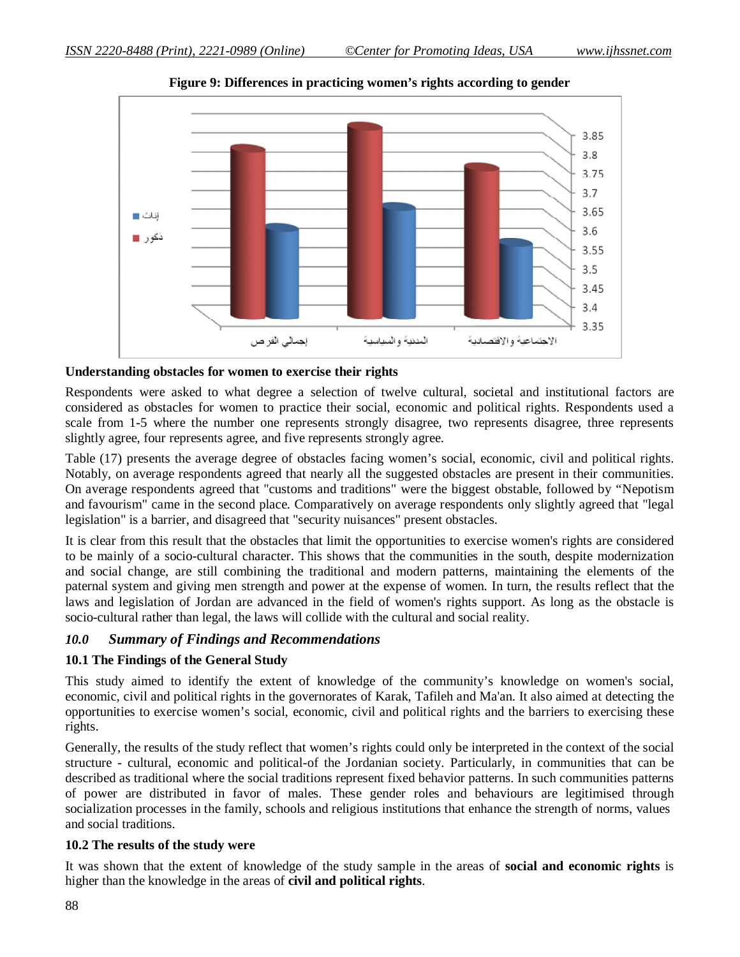

**Figure 9: Differences in practicing women's rights according to gender**

### **Understanding obstacles for women to exercise their rights**

Respondents were asked to what degree a selection of twelve cultural, societal and institutional factors are considered as obstacles for women to practice their social, economic and political rights. Respondents used a scale from 1-5 where the number one represents strongly disagree, two represents disagree, three represents slightly agree, four represents agree, and five represents strongly agree.

Table (17) presents the average degree of obstacles facing women's social, economic, civil and political rights. Notably, on average respondents agreed that nearly all the suggested obstacles are present in their communities. On average respondents agreed that "customs and traditions" were the biggest obstable, followed by "Nepotism and favourism" came in the second place. Comparatively on average respondents only slightly agreed that "legal legislation" is a barrier, and disagreed that "security nuisances" present obstacles.

It is clear from this result that the obstacles that limit the opportunities to exercise women's rights are considered to be mainly of a socio-cultural character. This shows that the communities in the south, despite modernization and social change, are still combining the traditional and modern patterns, maintaining the elements of the paternal system and giving men strength and power at the expense of women. In turn, the results reflect that the laws and legislation of Jordan are advanced in the field of women's rights support. As long as the obstacle is socio-cultural rather than legal, the laws will collide with the cultural and social reality.

### *10.0 Summary of Findings and Recommendations*

### **10.1 The Findings of the General Study**

This study aimed to identify the extent of knowledge of the community's knowledge on women's social, economic, civil and political rights in the governorates of Karak, Tafileh and Ma'an. It also aimed at detecting the opportunities to exercise women's social, economic, civil and political rights and the barriers to exercising these rights.

Generally, the results of the study reflect that women's rights could only be interpreted in the context of the social structure - cultural, economic and political-of the Jordanian society. Particularly, in communities that can be described as traditional where the social traditions represent fixed behavior patterns. In such communities patterns of power are distributed in favor of males. These gender roles and behaviours are legitimised through socialization processes in the family, schools and religious institutions that enhance the strength of norms, values and social traditions.

### **10.2 The results of the study were**

It was shown that the extent of knowledge of the study sample in the areas of **social and economic rights** is higher than the knowledge in the areas of **civil and political rights**.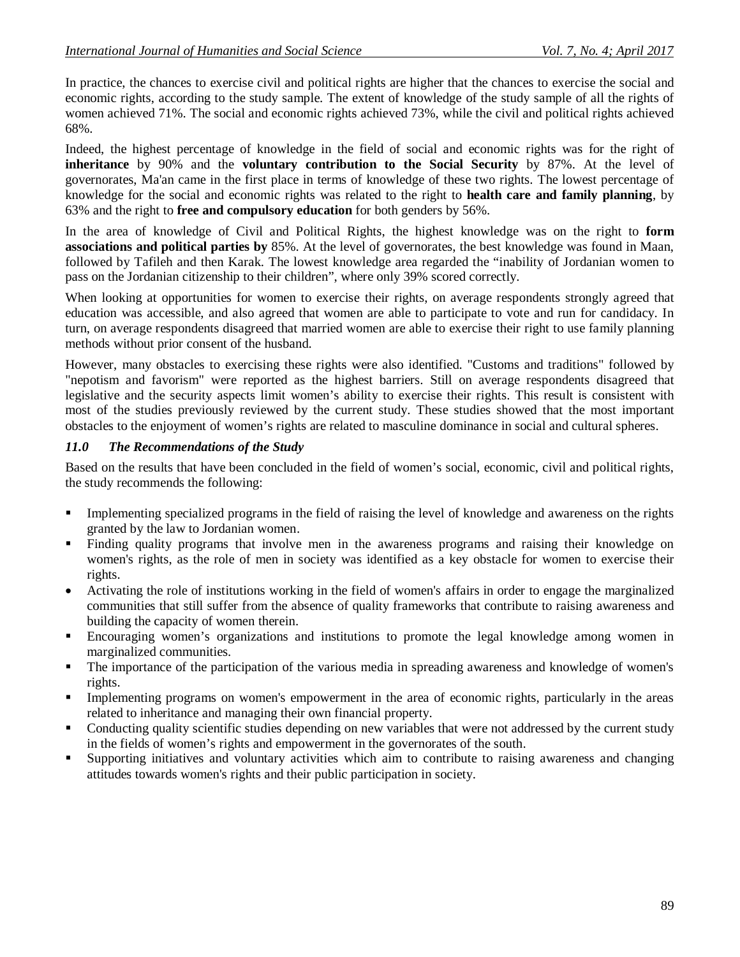In practice, the chances to exercise civil and political rights are higher that the chances to exercise the social and economic rights, according to the study sample. The extent of knowledge of the study sample of all the rights of women achieved 71%. The social and economic rights achieved 73%, while the civil and political rights achieved 68%.

Indeed, the highest percentage of knowledge in the field of social and economic rights was for the right of **inheritance** by 90% and the **voluntary contribution to the Social Security** by 87%. At the level of governorates, Ma'an came in the first place in terms of knowledge of these two rights. The lowest percentage of knowledge for the social and economic rights was related to the right to **health care and family planning**, by 63% and the right to **free and compulsory education** for both genders by 56%.

In the area of knowledge of Civil and Political Rights, the highest knowledge was on the right to **form associations and political parties by** 85%. At the level of governorates, the best knowledge was found in Maan, followed by Tafileh and then Karak. The lowest knowledge area regarded the "inability of Jordanian women to pass on the Jordanian citizenship to their children", where only 39% scored correctly.

When looking at opportunities for women to exercise their rights, on average respondents strongly agreed that education was accessible, and also agreed that women are able to participate to vote and run for candidacy. In turn, on average respondents disagreed that married women are able to exercise their right to use family planning methods without prior consent of the husband.

However, many obstacles to exercising these rights were also identified. "Customs and traditions" followed by "nepotism and favorism" were reported as the highest barriers. Still on average respondents disagreed that legislative and the security aspects limit women's ability to exercise their rights. This result is consistent with most of the studies previously reviewed by the current study. These studies showed that the most important obstacles to the enjoyment of women's rights are related to masculine dominance in social and cultural spheres.

#### *11.0 The Recommendations of the Study*

Based on the results that have been concluded in the field of women's social, economic, civil and political rights, the study recommends the following:

- Implementing specialized programs in the field of raising the level of knowledge and awareness on the rights granted by the law to Jordanian women.
- Finding quality programs that involve men in the awareness programs and raising their knowledge on women's rights, as the role of men in society was identified as a key obstacle for women to exercise their rights.
- Activating the role of institutions working in the field of women's affairs in order to engage the marginalized communities that still suffer from the absence of quality frameworks that contribute to raising awareness and building the capacity of women therein.
- Encouraging women's organizations and institutions to promote the legal knowledge among women in marginalized communities.
- The importance of the participation of the various media in spreading awareness and knowledge of women's rights.
- Implementing programs on women's empowerment in the area of economic rights, particularly in the areas related to inheritance and managing their own financial property.
- Conducting quality scientific studies depending on new variables that were not addressed by the current study in the fields of women's rights and empowerment in the governorates of the south.
- Supporting initiatives and voluntary activities which aim to contribute to raising awareness and changing attitudes towards women's rights and their public participation in society.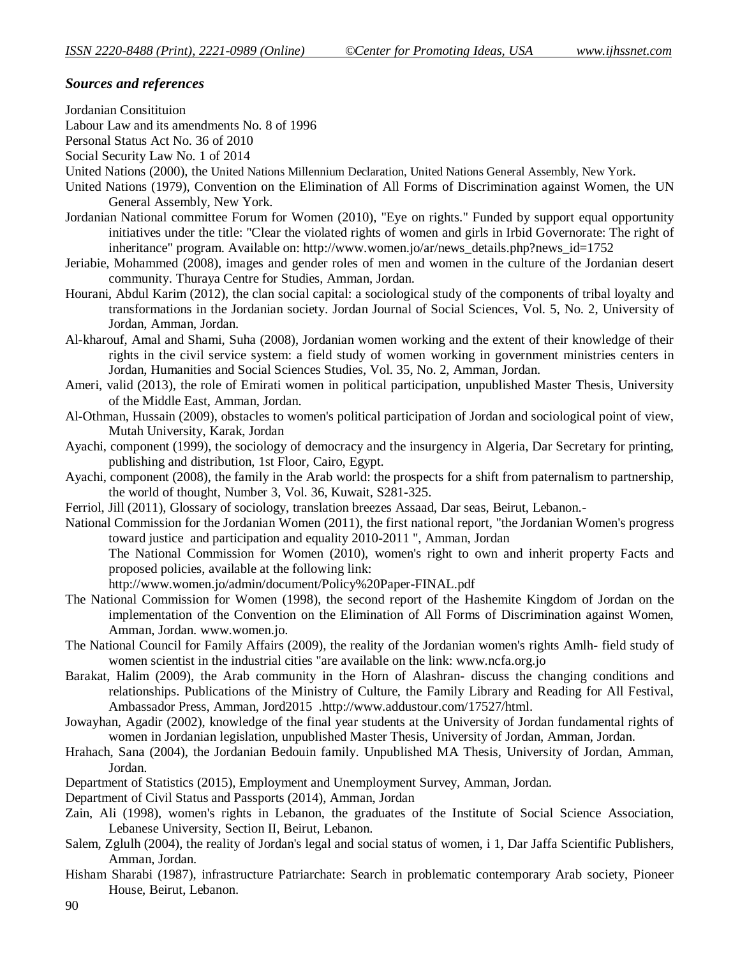### *Sources and references*

Jordanian Consitituion

Labour Law and its amendments No. 8 of 1996

Personal Status Act No. 36 of 2010

Social Security Law No. 1 of 2014

- United Nations (2000), the United Nations Millennium Declaration, United Nations General Assembly, New York.
- United Nations (1979), Convention on the Elimination of All Forms of Discrimination against Women, the UN General Assembly, New York.
- Jordanian National committee Forum for Women (2010), "Eye on rights." Funded by support equal opportunity initiatives under the title: "Clear the violated rights of women and girls in Irbid Governorate: The right of inheritance" program. Available on: http://www.women.jo/ar/news\_details.php?news\_id=1752
- Jeriabie, Mohammed (2008), images and gender roles of men and women in the culture of the Jordanian desert community. Thuraya Centre for Studies, Amman, Jordan.
- Hourani, Abdul Karim (2012), the clan social capital: a sociological study of the components of tribal loyalty and transformations in the Jordanian society. Jordan Journal of Social Sciences, Vol. 5, No. 2, University of Jordan, Amman, Jordan.
- Al-kharouf, Amal and Shami, Suha (2008), Jordanian women working and the extent of their knowledge of their rights in the civil service system: a field study of women working in government ministries centers in Jordan, Humanities and Social Sciences Studies, Vol. 35, No. 2, Amman, Jordan.
- Ameri, valid (2013), the role of Emirati women in political participation, unpublished Master Thesis, University of the Middle East, Amman, Jordan.
- Al-Othman, Hussain (2009), obstacles to women's political participation of Jordan and sociological point of view, Mutah University, Karak, Jordan
- Ayachi, component (1999), the sociology of democracy and the insurgency in Algeria, Dar Secretary for printing, publishing and distribution, 1st Floor, Cairo, Egypt.
- Ayachi, component (2008), the family in the Arab world: the prospects for a shift from paternalism to partnership, the world of thought, Number 3, Vol. 36, Kuwait, S281-325.
- Ferriol, Jill (2011), Glossary of sociology, translation breezes Assaad, Dar seas, Beirut, Lebanon. -
- National Commission for the Jordanian Women (2011), the first national report, "the Jordanian Women's progress toward justice and participation and equality 2010-2011 ", Amman, Jordan The National Commission for Women (2010), women's right to own and inherit property Facts and proposed policies, available at the following link:
	- http://www.women.jo/admin/document/Policy%20Paper-FINAL.pdf
- The National Commission for Women (1998), the second report of the Hashemite Kingdom of Jordan on the implementation of the Convention on the Elimination of All Forms of Discrimination against Women, Amman, Jordan. www.women.jo.
- The National Council for Family Affairs (2009), the reality of the Jordanian women's rights Amlh- field study of women scientist in the industrial cities "are available on the link: www.ncfa.org.jo
- Barakat, Halim (2009), the Arab community in the Horn of Alashran- discuss the changing conditions and relationships. Publications of the Ministry of Culture, the Family Library and Reading for All Festival, Ambassador Press, Amman, Jord2015 .http://www.addustour.com/17527/html.
- Jowayhan, Agadir (2002), knowledge of the final year students at the University of Jordan fundamental rights of women in Jordanian legislation, unpublished Master Thesis, University of Jordan, Amman, Jordan.
- Hrahach, Sana (2004), the Jordanian Bedouin family. Unpublished MA Thesis, University of Jordan, Amman, Jordan.
- Department of Statistics (2015), Employment and Unemployment Survey, Amman, Jordan.
- Department of Civil Status and Passports (2014), Amman, Jordan
- Zain, Ali (1998), women's rights in Lebanon, the graduates of the Institute of Social Science Association, Lebanese University, Section II, Beirut, Lebanon.
- Salem, Zglulh (2004), the reality of Jordan's legal and social status of women, i 1, Dar Jaffa Scientific Publishers, Amman, Jordan.
- Hisham Sharabi (1987), infrastructure Patriarchate: Search in problematic contemporary Arab society, Pioneer House, Beirut, Lebanon.